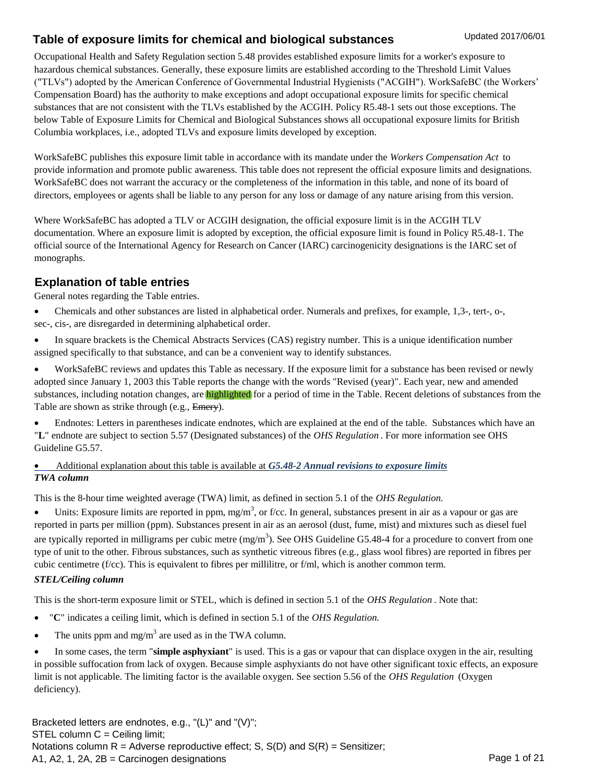Occupational Health and Safety Regulation section 5.48 provides established exposure limits for a worker's exposure to hazardous chemical substances. Generally, these exposure limits are established according to the Threshold Limit Values ("TLVs") adopted by the American Conference of Governmental Industrial Hygienists ("ACGIH"). WorkSafeBC (the Workers' Compensation Board) has the authority to make exceptions and adopt occupational exposure limits for specific chemical substances that are not consistent with the TLVs established by the ACGIH. Policy R5.48-1 sets out those exceptions. The below Table of Exposure Limits for Chemical and Biological Substances shows all occupational exposure limits for British Columbia workplaces, i.e., adopted TLVs and exposure limits developed by exception.

WorkSafeBC publishes this exposure limit table in accordance with its mandate under the *Workers Compensation Act* to provide information and promote public awareness. This table does not represent the official exposure limits and designations. WorkSafeBC does not warrant the accuracy or the completeness of the information in this table, and none of its board of directors, employees or agents shall be liable to any person for any loss or damage of any nature arising from this version.

Where WorkSafeBC has adopted a TLV or ACGIH designation, the official exposure limit is in the ACGIH TLV documentation. Where an exposure limit is adopted by exception, the official exposure limit is found in Policy R5.48-1. The official source of the International Agency for Research on Cancer (IARC) carcinogenicity designations is the IARC set of monographs.

#### **Explanation of table entries**

General notes regarding the Table entries.

- Chemicals and other substances are listed in alphabetical order. Numerals and prefixes, for example, 1,3-, tert-, o-, sec-, cis-, are disregarded in determining alphabetical order.
- In square brackets is the Chemical Abstracts Services (CAS) registry number. This is a unique identification number assigned specifically to that substance, and can be a convenient way to identify substances.
- WorkSafeBC reviews and updates this Table as necessary. If the exposure limit for a substance has been revised or newly adopted since January 1, 2003 this Table reports the change with the words "Revised (year)". Each year, new and amended substances, including notation changes, are highlighted for a period of time in the Table. Recent deletions of substances from the Table are shown as strike through (e.g., Emery).

Endnotes: Letters in parentheses indicate endnotes, which are explained at the end of the table. Substances which have an

"**L**" endnote are subject to section 5.57 (Designated substances) of the *OHS Regulation* . For more information see OHS Guideline G5.57.

#### *TWA column*  [Additional explanation about this table is available at](http://www2.worksafebc.com/Publications/OHSRegulation/GuidelinePart5.asp#SectionNumber:G5.48-2) *[G5.48-2 Annu](http://www2.worksafebc.com/Publications/OHSRegulation/GuidelinePart5.asp#SectionNumber:G5.48-2)al revisions to exposure limits*

This is the 8-hour time weighted average (TWA) limit, as defined in section 5.1 of the *OHS Regulation.* 

 $\bullet$  Units: Exposure limits are reported in ppm, mg/m<sup>3</sup>, or f/cc. In general, substances present in air as a vapour or gas are reported in parts per million (ppm). Substances present in air as an aerosol (dust, fume, mist) and mixtures such as diesel fuel are typically reported in milligrams per cubic metre  $(mg/m^3)$ . See OHS Guideline G5.48-4 for a procedure to convert from one type of unit to the other. Fibrous substances, such as synthetic vitreous fibres (e.g., glass wool fibres) are reported in fibres per cubic centimetre (f/cc). This is equivalent to fibres per millilitre, or f/ml, which is another common term.

#### *STEL/Ceiling column*

This is the short-term exposure limit or STEL, which is defined in section 5.1 of the *OHS Regulation* . Note that:

- "**C**" indicates a ceiling limit, which is defined in section 5.1 of the *OHS Regulation.*
- The units ppm and mg/m<sup>3</sup> are used as in the TWA column.

 In some cases, the term "**simple asphyxiant**" is used. This is a gas or vapour that can displace oxygen in the air, resulting in possible suffocation from lack of oxygen. Because simple asphyxiants do not have other significant toxic effects, an exposure limit is not applicable. The limiting factor is the available oxygen. See section 5.56 of the *OHS Regulation* (Oxygen deficiency).

Bracketed letters are endnotes, e.g., "(L)" and "(V)";  $STEL$  column  $C =$  Ceiling limit; Notations column  $R =$  Adverse reproductive effect; S,  $S(D)$  and  $S(R) =$  Sensitizer; A1, A2, 1, 2A, 2B = Carcinogen designations example to the state of 21 Page 1 of 21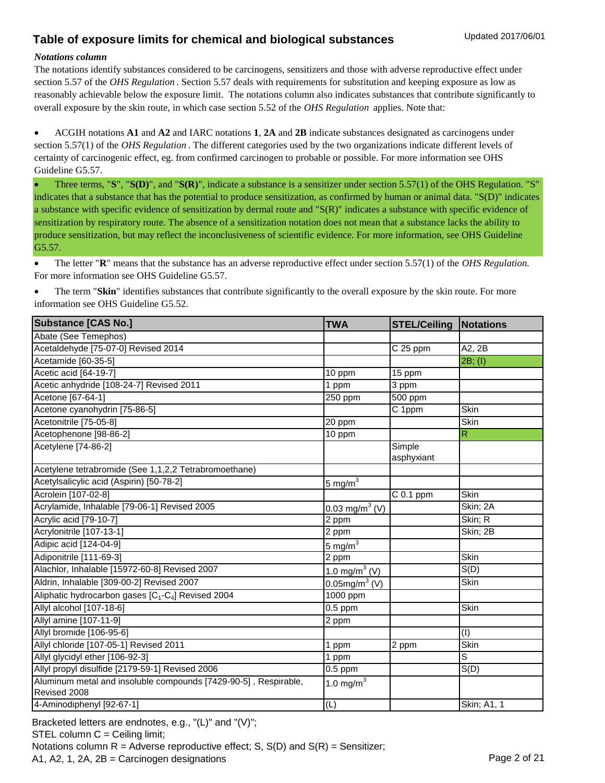#### *Notations column*

The notations identify substances considered to be carcinogens, sensitizers and those with adverse reproductive effect under section 5.57 of the *OHS Regulation* . Section 5.57 deals with requirements for substitution and keeping exposure as low as reasonably achievable below the exposure limit. The notations column also indicates substances that contribute significantly to overall exposure by the skin route, in which case section 5.52 of the *OHS Regulation* applies. Note that:

 ACGIH notations **A1** and **A2** and IARC notations **1**, **2A** and **2B** indicate substances designated as carcinogens under section 5.57(1) of the *OHS Regulation* . The different categories used by the two organizations indicate different levels of certainty of carcinogenic effect, eg. from confirmed carcinogen to probable or possible. For more information see OHS Guideline G5.57.

 Three terms, "**S**", "**S(D)**", and "**S(R)**", indicate a substance is a sensitizer under section 5.57(1) of the OHS Regulation. "S" indicates that a substance that has the potential to produce sensitization, as confirmed by human or animal data. "S(D)" indicates a substance with specific evidence of sensitization by dermal route and "S(R)" indicates a substance with specific evidence of sensitization by respiratory route. The absence of a sensitization notation does not mean that a substance lacks the ability to produce sensitization, but may reflect the inconclusiveness of scientific evidence. For more information, see OHS Guideline G5.57.

 The letter "**R**" means that the substance has an adverse reproductive effect under section 5.57(1) of the *OHS Regulation.*  For more information see OHS Guideline G5.57.

• The term "Skin" identifies substances that contribute significantly to the overall exposure by the skin route. For more information see OHS Guideline G5.52.

| Substance [CAS No.]                                                             | <b>TWA</b>                 | <b>STEL/Ceiling</b>  | Notations                 |
|---------------------------------------------------------------------------------|----------------------------|----------------------|---------------------------|
| Abate (See Temephos)                                                            |                            |                      |                           |
| Acetaldehyde [75-07-0] Revised 2014                                             |                            | C 25 ppm             | A2, 2B                    |
| Acetamide [60-35-5]                                                             |                            |                      | 2B; (I)                   |
| Acetic acid [64-19-7]                                                           | 10 ppm                     | 15 ppm               |                           |
| Acetic anhydride [108-24-7] Revised 2011                                        | 1 ppm                      | 3 ppm                |                           |
| Acetone [67-64-1]                                                               | 250 ppm                    | 500 ppm              |                           |
| Acetone cyanohydrin [75-86-5]                                                   |                            | C 1ppm               | Skin                      |
| Acetonitrile [75-05-8]                                                          | 20 ppm                     |                      | <b>Skin</b>               |
| Acetophenone [98-86-2]                                                          | 10 ppm                     |                      | $\overline{R}$            |
| Acetylene [74-86-2]                                                             |                            | Simple<br>asphyxiant |                           |
| Acetylene tetrabromide (See 1,1,2,2 Tetrabromoethane)                           |                            |                      |                           |
| Acetylsalicylic acid (Aspirin) [50-78-2]                                        | $5 \text{ mg/m}^3$         |                      |                           |
| Acrolein [107-02-8]                                                             |                            | $C$ 0.1 ppm          | <b>Skin</b>               |
| Acrylamide, Inhalable [79-06-1] Revised 2005                                    | 0.03 mg/m <sup>3</sup> (V) |                      | Skin; 2A                  |
| Acrylic acid [79-10-7]                                                          | 2 ppm                      |                      | Skin; R                   |
| Acrylonitrile [107-13-1]                                                        | 2 ppm                      |                      | Skin; 2B                  |
| Adipic acid [124-04-9]                                                          | $5 \text{ mg/m}^3$         |                      |                           |
| Adiponitrile [111-69-3]                                                         | 2 ppm                      |                      | Skin                      |
| Alachlor, Inhalable [15972-60-8] Revised 2007                                   | 1.0 mg/m <sup>3</sup> (V)  |                      | S(D)                      |
| Aldrin, Inhalable [309-00-2] Revised 2007                                       | 0.05mg/m <sup>3</sup> (V)  |                      | Skin                      |
| Aliphatic hydrocarbon gases [C <sub>1</sub> -C <sub>4</sub> ] Revised 2004      | 1000 ppm                   |                      |                           |
| Allyl alcohol [107-18-6]                                                        | $0.5$ ppm                  |                      | Skin                      |
| Allyl amine [107-11-9]                                                          | 2 ppm                      |                      |                           |
| Allyl bromide [106-95-6]                                                        |                            |                      | $\overline{(\mathrm{I})}$ |
| Allyl chloride [107-05-1] Revised 2011                                          | 1 ppm                      | 2 ppm                | <b>Skin</b>               |
| Allyl glycidyl ether [106-92-3]                                                 | 1 ppm                      |                      | S                         |
| Allyl propyl disulfide [2179-59-1] Revised 2006                                 | $\overline{0.5}$ ppm       |                      | S(D)                      |
| Aluminum metal and insoluble compounds [7429-90-5], Respirable,<br>Revised 2008 | 1.0 mg/ $m3$               |                      |                           |
| 4-Aminodiphenyl [92-67-1]                                                       | (L)                        |                      | <b>Skin</b> ; A1, 1       |

Bracketed letters are endnotes, e.g., "(L)" and "(V)";  $STEL$  column  $C =$  Ceiling limit; Notations column  $R =$  Adverse reproductive effect; S,  $S(D)$  and  $S(R) =$  Sensitizer; A1, A2, 1, 2A, 2B = Carcinogen designations extending the state of 21 Page 2 of 21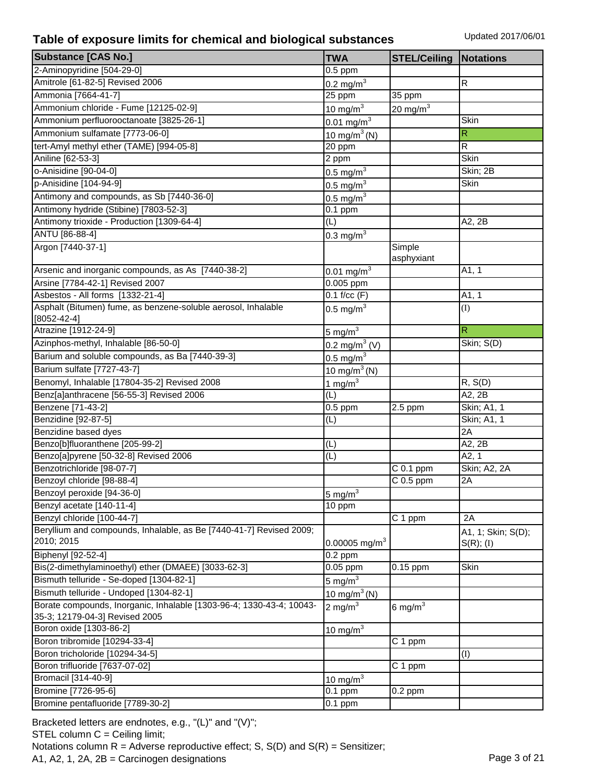| <b>Substance [CAS No.]</b>                                                                             | <b>TWA</b>                | <b>STEL/Ceiling</b>  | <b>Notations</b>   |
|--------------------------------------------------------------------------------------------------------|---------------------------|----------------------|--------------------|
| 2-Aminopyridine [504-29-0]                                                                             | $0.5$ ppm                 |                      |                    |
| Amitrole [61-82-5] Revised 2006                                                                        | $0.2 \text{ mg/m}^3$      |                      | R                  |
| Ammonia [7664-41-7]                                                                                    | 25 ppm                    | $35$ ppm             |                    |
| Ammonium chloride - Fume [12125-02-9]                                                                  | $10 \text{ mg/m}^3$       | 20 mg/m $^3$         |                    |
| Ammonium perfluorooctanoate [3825-26-1]                                                                | $0.01 \text{ mg/m}^3$     |                      | <b>Skin</b>        |
| Ammonium sulfamate [7773-06-0]                                                                         | 10 mg/m <sup>3</sup> (N)  |                      | R                  |
| tert-Amyl methyl ether (TAME) [994-05-8]                                                               | 20 ppm                    |                      | R                  |
| Aniline [62-53-3]                                                                                      | 2 ppm                     |                      | <b>Skin</b>        |
| o-Anisidine [90-04-0]                                                                                  | $0.5 \text{ mg/m}^3$      |                      | Skin; 2B           |
| p-Anisidine [104-94-9]                                                                                 | $0.5 \text{ mg/m}^3$      |                      | Skin               |
| Antimony and compounds, as Sb [7440-36-0]                                                              | $0.5 \text{ mg/m}^3$      |                      |                    |
| Antimony hydride (Stibine) [7803-52-3]                                                                 | $0.1$ ppm                 |                      |                    |
| Antimony trioxide - Production [1309-64-4]                                                             | (L)                       |                      | A2, 2B             |
| ANTU [86-88-4]                                                                                         | $0.3 \text{ mg/m}^3$      |                      |                    |
| Argon [7440-37-1]                                                                                      |                           | Simple               |                    |
|                                                                                                        |                           | asphyxiant           |                    |
| Arsenic and inorganic compounds, as As [7440-38-2]                                                     | $0.01 \,\mathrm{mg/m}^3$  |                      | A1, 1              |
| Arsine [7784-42-1] Revised 2007                                                                        | 0.005 ppm                 |                      |                    |
| Asbestos - All forms [1332-21-4]                                                                       | $0.1$ f/cc $(F)$          |                      | A1, 1              |
| Asphalt (Bitumen) fume, as benzene-soluble aerosol, Inhalable                                          | 0.5 mg/m $3$              |                      | (I)                |
| $[8052 - 42 - 4]$                                                                                      |                           |                      |                    |
| Atrazine [1912-24-9]                                                                                   | $5 \text{ mg/m}^3$        |                      | $\mathsf R$        |
| Azinphos-methyl, Inhalable [86-50-0]                                                                   | 0.2 mg/m <sup>3</sup> (V) |                      | Skin; S(D)         |
| Barium and soluble compounds, as Ba [7440-39-3]                                                        | 0.5 mg/ $m3$              |                      |                    |
| Barium sulfate [7727-43-7]                                                                             | 10 mg/m <sup>3</sup> (N)  |                      |                    |
| Benomyl, Inhalable [17804-35-2] Revised 2008                                                           | 1 mg/m $3$                |                      | R, S(D)            |
| Benz[a]anthracene [56-55-3] Revised 2006                                                               | (L)                       |                      | A2, 2B             |
| Benzene [71-43-2]                                                                                      | $\overline{0.5}$ ppm      | 2.5 ppm              | Skin; A1, 1        |
| Benzidine [92-87-5]                                                                                    | (L)                       |                      | Skin; A1, 1        |
| Benzidine based dyes                                                                                   |                           |                      | 2A                 |
| Benzo[b]fluoranthene [205-99-2]                                                                        | (L)                       |                      | A2, 2B             |
| Benzo[a]pyrene [50-32-8] Revised 2006                                                                  | (L)                       |                      | A2, 1              |
| Benzotrichloride [98-07-7]                                                                             |                           | $C$ 0.1 ppm          | Skin; A2, 2A       |
| Benzoyl chloride [98-88-4]                                                                             |                           | $C$ 0.5 ppm          | 2A                 |
| Benzoyl peroxide [94-36-0]                                                                             | $5 \text{ mg/m}^3$        |                      |                    |
| Benzyl acetate [140-11-4]                                                                              | 10 ppm                    |                      |                    |
| Benzyl chloride [100-44-7]                                                                             |                           | C 1 ppm              | 2A                 |
| Beryllium and compounds, Inhalable, as Be [7440-41-7] Revised 2009;                                    |                           |                      | A1, 1; Skin; S(D); |
| 2010; 2015                                                                                             | 0.00005 mg/m <sup>3</sup> |                      | S(R); (I)          |
| Biphenyl [92-52-4]                                                                                     | $\overline{0.2}$ ppm      |                      |                    |
| Bis(2-dimethylaminoethyl) ether (DMAEE) [3033-62-3]                                                    | 0.05 ppm                  | $0.15$ ppm           | <b>Skin</b>        |
| Bismuth telluride - Se-doped [1304-82-1]                                                               | 5 mg/m $^3$               |                      |                    |
| Bismuth telluride - Undoped [1304-82-1]                                                                | $10 \text{ mg/m}^3$ (N)   |                      |                    |
| Borate compounds, Inorganic, Inhalable [1303-96-4; 1330-43-4; 10043-<br>35-3; 12179-04-3] Revised 2005 | 2 mg/ $m3$                | 6 mg/ $m^3$          |                    |
| Boron oxide [1303-86-2]                                                                                | $10 \text{ mg/m}^3$       |                      |                    |
| Boron tribromide [10294-33-4]                                                                          |                           | C 1 ppm              |                    |
| Boron tricholoride [10294-34-5]                                                                        |                           |                      | (I)                |
| Boron trifluoride [7637-07-02]                                                                         |                           | $\overline{C}$ 1 ppm |                    |
| Bromacil [314-40-9]                                                                                    | 10 mg/m $3$               |                      |                    |
| Bromine [7726-95-6]                                                                                    | $0.1$ ppm                 | $0.2$ ppm            |                    |
| Bromine pentafluoride [7789-30-2]                                                                      | $0.1$ ppm                 |                      |                    |

Bracketed letters are endnotes, e.g., "(L)" and "(V)"; STEL column C = Ceiling limit; Notations column  $R =$  Adverse reproductive effect; S,  $S(D)$  and  $S(R) =$  Sensitizer; A1, A2, 1, 2A, 2B = Carcinogen designations Page 3 of 21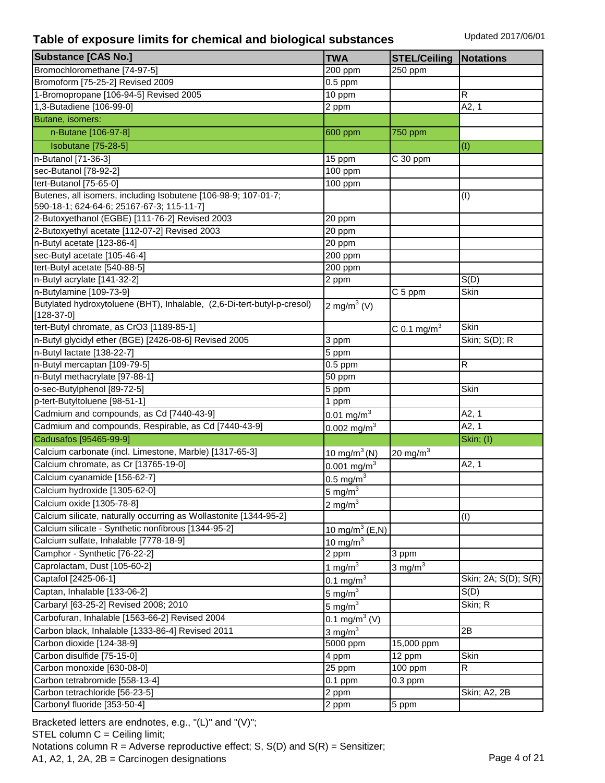| <b>Substance [CAS No.]</b>                                              | <b>TWA</b>                | <b>STEL/Ceiling</b>       | Notations            |
|-------------------------------------------------------------------------|---------------------------|---------------------------|----------------------|
| Bromochloromethane [74-97-5]                                            | 200 ppm                   | 250 ppm                   |                      |
| Bromoform [75-25-2] Revised 2009                                        | $0.5$ ppm                 |                           |                      |
| 1-Bromopropane [106-94-5] Revised 2005                                  | 10 ppm                    |                           | R                    |
| 1,3-Butadiene [106-99-0]                                                | 2 ppm                     |                           | A2, 1                |
| Butane, isomers:                                                        |                           |                           |                      |
| n-Butane [106-97-8]                                                     | 600 ppm                   | 750 ppm                   |                      |
| <b>Isobutane</b> [75-28-5]                                              |                           |                           | (I)                  |
| n-Butanol [71-36-3]                                                     | 15 ppm                    | $C$ 30 ppm                |                      |
| sec-Butanol [78-92-2]                                                   | 100 ppm                   |                           |                      |
| tert-Butanol [75-65-0]                                                  | 100 ppm                   |                           |                      |
| Butenes, all isomers, including Isobutene [106-98-9; 107-01-7;          |                           |                           | (I)                  |
| 590-18-1; 624-64-6; 25167-67-3; 115-11-7]                               |                           |                           |                      |
| 2-Butoxyethanol (EGBE) [111-76-2] Revised 2003                          | 20 ppm                    |                           |                      |
| 2-Butoxyethyl acetate [112-07-2] Revised 2003                           | 20 ppm                    |                           |                      |
| n-Butyl acetate [123-86-4]                                              | 20 ppm                    |                           |                      |
| sec-Butyl acetate [105-46-4]                                            | 200 ppm                   |                           |                      |
| tert-Butyl acetate [540-88-5]                                           | 200 ppm                   |                           |                      |
| n-Butyl acrylate [141-32-2]                                             | 2 ppm                     |                           | S(D)                 |
| n-Butylamine [109-73-9]                                                 |                           | C 5 ppm                   | Skin                 |
| Butylated hydroxytoluene (BHT), Inhalable, (2,6-Di-tert-butyl-p-cresol) | 2 mg/m <sup>3</sup> (V)   |                           |                      |
| $[128-37-0]$                                                            |                           |                           |                      |
| tert-Butyl chromate, as CrO3 [1189-85-1]                                |                           | $C$ 0.1 mg/m <sup>3</sup> | <b>Skin</b>          |
| n-Butyl glycidyl ether (BGE) [2426-08-6] Revised 2005                   | 3 ppm                     |                           | Skin; S(D); R        |
| n-Butyl lactate [138-22-7]                                              | 5 ppm                     |                           |                      |
| n-Butyl mercaptan [109-79-5]                                            | $0.5$ ppm                 |                           | R                    |
| n-Butyl methacrylate [97-88-1]                                          | 50 ppm                    |                           |                      |
| o-sec-Butylphenol [89-72-5]                                             | 5 ppm                     |                           | Skin                 |
| p-tert-Butyltoluene [98-51-1]                                           | 1 ppm                     |                           |                      |
| Cadmium and compounds, as Cd [7440-43-9]                                | $0.01 \text{ mg/m}^3$     |                           | A2, 1                |
| Cadmium and compounds, Respirable, as Cd [7440-43-9]                    | $0.002$ mg/m <sup>3</sup> |                           | A2, 1                |
| Cadusafos [95465-99-9]                                                  |                           |                           | Skin; (I)            |
| Calcium carbonate (incl. Limestone, Marble) [1317-65-3]                 | $10 \text{ mg/m}^3$ (N)   | 20 mg/m $3$               |                      |
| Calcium chromate, as Cr [13765-19-0]                                    | $0.001$ mg/m <sup>3</sup> |                           | A2, 1                |
| Calcium cyanamide [156-62-7]                                            | $0.5 \text{ mg/m}^3$      |                           |                      |
| Calcium hydroxide [1305-62-0]                                           | 5 mg/m $\frac{3}{3}$      |                           |                      |
| Calcium oxide [1305-78-8]                                               | $2 \text{ mg/m}^3$        |                           |                      |
| Calcium silicate, naturally occurring as Wollastonite [1344-95-2]       |                           |                           | (I)                  |
| Calcium silicate - Synthetic nonfibrous [1344-95-2]                     | $10 \text{ mg/m}^3$ (E,N) |                           |                      |
| Calcium sulfate, Inhalable [7778-18-9]                                  | 10 mg/ $m3$               |                           |                      |
| Camphor - Synthetic [76-22-2]                                           | 2 ppm                     | 3 ppm                     |                      |
| Caprolactam, Dust [105-60-2]                                            | 1 mg/m $3$                | $3 \text{ mg/m}^3$        |                      |
| Captafol [2425-06-1]                                                    | $0.1 \text{ mg/m}^3$      |                           | Skin; 2A; S(D); S(R) |
| Captan, Inhalable [133-06-2]                                            | 5 mg/ $m3$                |                           | S(D)                 |
| Carbaryl [63-25-2] Revised 2008; 2010                                   | $5 \text{ mg/m}^3$        |                           | Skin; R              |
| Carbofuran, Inhalable [1563-66-2] Revised 2004                          | 0.1 mg/m <sup>3</sup> (V) |                           |                      |
| Carbon black, Inhalable [1333-86-4] Revised 2011                        | 3 mg/ $m3$                |                           | 2B                   |
| Carbon dioxide [124-38-9]                                               | 5000 ppm                  | 15,000 ppm                |                      |
| Carbon disulfide [75-15-0]                                              | 4 ppm                     | 12 ppm                    | Skin                 |
| Carbon monoxide [630-08-0]                                              | 25 ppm                    | 100 ppm                   | R                    |
| Carbon tetrabromide [558-13-4]                                          | $0.1$ ppm                 | $0.3$ ppm                 |                      |
| Carbon tetrachloride [56-23-5]                                          | 2 ppm                     |                           | Skin; A2, 2B         |
| Carbonyl fluoride [353-50-4]                                            | 2 ppm                     | 5 ppm                     |                      |
|                                                                         |                           |                           |                      |

Bracketed letters are endnotes, e.g., "(L)" and "(V)"; STEL column C = Ceiling limit; Notations column  $R =$  Adverse reproductive effect; S,  $S(D)$  and  $S(R) =$  Sensitizer; A1, A2, 1, 2A, 2B = Carcinogen designations Page 4 of 21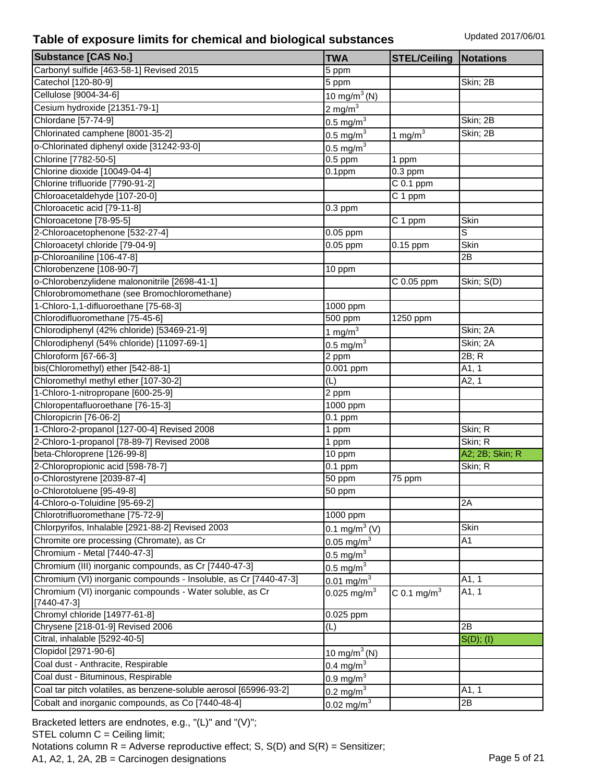| <b>Substance [CAS No.]</b>                                        | <b>TWA</b>                | <b>STEL/Ceiling</b>     | Notations       |
|-------------------------------------------------------------------|---------------------------|-------------------------|-----------------|
| Carbonyl sulfide [463-58-1] Revised 2015                          | 5 ppm                     |                         |                 |
| Catechol [120-80-9]                                               | 5 ppm                     |                         | Skin; 2B        |
| Cellulose [9004-34-6]                                             | 10 mg/m <sup>3</sup> (N)  |                         |                 |
| Cesium hydroxide [21351-79-1]                                     | $2 \text{ mg/m}^3$        |                         |                 |
| Chlordane [57-74-9]                                               | $0.5 \text{ mg/m}^3$      |                         | Skin; 2B        |
| Chlorinated camphene [8001-35-2]                                  | $0.5 \text{ mg/m}^3$      | $1$ mg/m <sup>3</sup>   | Skin; 2B        |
| o-Chlorinated diphenyl oxide [31242-93-0]                         | $0.5$ mg/m <sup>3</sup>   |                         |                 |
| Chlorine [7782-50-5]                                              | $0.5$ ppm                 | 1 ppm                   |                 |
| Chlorine dioxide [10049-04-4]                                     | $0.1$ ppm                 | $0.3$ ppm               |                 |
| Chlorine trifluoride [7790-91-2]                                  |                           | $C$ 0.1 ppm             |                 |
| Chloroacetaldehyde [107-20-0]                                     |                           | C 1 ppm                 |                 |
| Chloroacetic acid [79-11-8]                                       | $0.3$ ppm                 |                         |                 |
| Chloroacetone [78-95-5]                                           |                           | C 1 ppm                 | Skin            |
| 2-Chloroacetophenone [532-27-4]                                   | $0.05$ ppm                |                         | S               |
| Chloroacetyl chloride [79-04-9]                                   | $0.05$ ppm                | 0.15 ppm                | Skin            |
| p-Chloroaniline [106-47-8]                                        |                           |                         | 2B              |
| Chlorobenzene [108-90-7]                                          | 10 ppm                    |                         |                 |
| o-Chlorobenzylidene malononitrile [2698-41-1]                     |                           | C 0.05 ppm              | Skin; S(D)      |
| Chlorobromomethane (see Bromochloromethane)                       |                           |                         |                 |
| 1-Chloro-1,1-difluoroethane [75-68-3]                             | 1000 ppm                  |                         |                 |
| Chlorodifluoromethane [75-45-6]                                   | $\overline{500}$ ppm      | 1250 ppm                |                 |
| Chlorodiphenyl (42% chloride) [53469-21-9]                        | $1 \text{ mg/m}^3$        |                         | Skin; 2A        |
| Chlorodiphenyl (54% chloride) [11097-69-1]                        | 0.5 mg/m $3$              |                         | Skin; 2A        |
| Chloroform [67-66-3]                                              | 2 ppm                     |                         | 2B; R           |
| bis(Chloromethyl) ether [542-88-1]                                | 0.001 ppm                 |                         | A1, 1           |
| Chloromethyl methyl ether [107-30-2]                              | (L)                       |                         | A2, 1           |
| 1-Chloro-1-nitropropane [600-25-9]                                | 2 ppm                     |                         |                 |
| Chloropentafluoroethane [76-15-3]                                 | 1000 ppm                  |                         |                 |
| Chloropicrin [76-06-2]                                            | $0.1$ ppm                 |                         |                 |
| 1-Chloro-2-propanol [127-00-4] Revised 2008                       | 1 ppm                     |                         | Skin; R         |
| 2-Chloro-1-propanol [78-89-7] Revised 2008                        | 1 ppm                     |                         | Skin; R         |
| beta-Chloroprene [126-99-8]                                       | 10 ppm                    |                         | A2; 2B; Skin; R |
| 2-Chloropropionic acid [598-78-7]                                 | $0.1$ ppm                 |                         | Skin; R         |
| o-Chlorostyrene [2039-87-4]                                       | 50 ppm                    | 75 ppm                  |                 |
| o-Chlorotoluene [95-49-8]                                         | $50$ ppm                  |                         |                 |
| 4-Chloro-o-Toluidine [95-69-2]                                    |                           |                         | 2A              |
| Chlorotrifluoromethane [75-72-9]                                  | 1000 ppm                  |                         |                 |
| Chlorpyrifos, Inhalable [2921-88-2] Revised 2003                  | 0.1 mg/m <sup>3</sup> (V) |                         | Skin            |
| Chromite ore processing (Chromate), as Cr                         | 0.05 mg/m $^{3}$          |                         | A1              |
| Chromium - Metal [7440-47-3]                                      | $0.5 \text{ mg/m}^3$      |                         |                 |
| Chromium (III) inorganic compounds, as Cr [7440-47-3]             | $0.5 \text{ mg/m}^3$      |                         |                 |
| Chromium (VI) inorganic compounds - Insoluble, as Cr [7440-47-3]  | $0.01 \text{ mg/m}^3$     |                         | A1, 1           |
| Chromium (VI) inorganic compounds - Water soluble, as Cr          | 0.025 mg/m <sup>3</sup>   | C 0.1 mg/m <sup>3</sup> | A1, 1           |
| $[7440 - 47 - 3]$                                                 |                           |                         |                 |
| Chromyl chloride [14977-61-8]                                     | 0.025 ppm                 |                         |                 |
| Chrysene [218-01-9] Revised 2006                                  | (L)                       |                         | 2B              |
| Citral, inhalable [5292-40-5]                                     |                           |                         | S(D); (I)       |
| Clopidol [2971-90-6]                                              | 10 mg/m <sup>3</sup> (N)  |                         |                 |
| Coal dust - Anthracite, Respirable                                | $0.4 \text{ mg/m}^3$      |                         |                 |
| Coal dust - Bituminous, Respirable                                | $0.9$ mg/m <sup>3</sup>   |                         |                 |
| Coal tar pitch volatiles, as benzene-soluble aerosol [65996-93-2] | 0.2 mg/m $3$              |                         | A1, 1           |
| Cobalt and inorganic compounds, as Co [7440-48-4]                 | 0.02 mg/m <sup>3</sup>    |                         | $\overline{2B}$ |

Bracketed letters are endnotes, e.g., "(L)" and "(V)"; STEL column C = Ceiling limit; Notations column  $R =$  Adverse reproductive effect; S,  $S(D)$  and  $S(R) =$  Sensitizer; A1, A2, 1, 2A, 2B = Carcinogen designations Page 5 of 21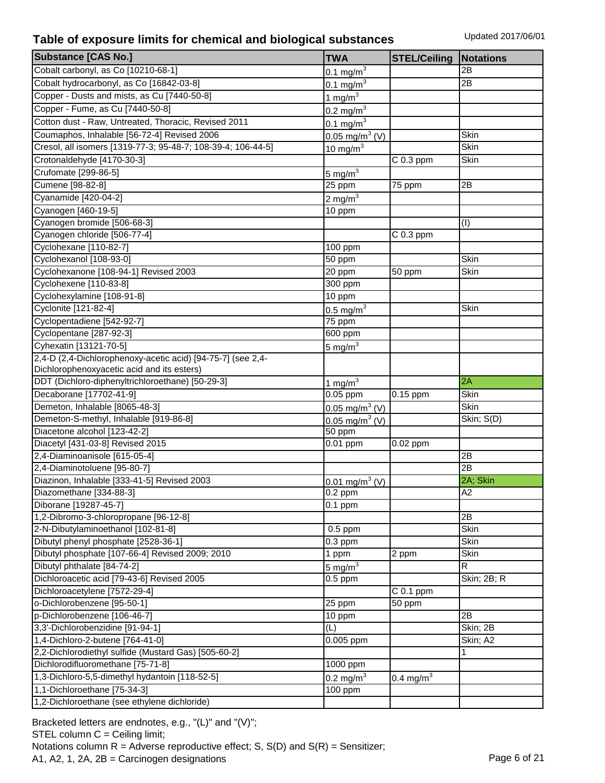| <b>Substance [CAS No.]</b>                                   | <b>TWA</b>                     | <b>STEL/Ceiling</b> | <b>Notations</b> |
|--------------------------------------------------------------|--------------------------------|---------------------|------------------|
| Cobalt carbonyl, as Co [10210-68-1]                          | $0.1 \text{ mg/m}^3$           |                     | 2B               |
| Cobalt hydrocarbonyl, as Co [16842-03-8]                     | 0.1 mg/m <sup>3</sup>          |                     | 2Β               |
| Copper - Dusts and mists, as Cu [7440-50-8]                  | $1 \text{ mg/m}^3$             |                     |                  |
| Copper - Fume, as Cu [7440-50-8]                             | $0.2 \,\text{mg/m}^3$          |                     |                  |
| Cotton dust - Raw, Untreated, Thoracic, Revised 2011         | 0.1 mg/m $3$                   |                     |                  |
| Coumaphos, Inhalable [56-72-4] Revised 2006                  | $0.05 \,\mathrm{mg/m^3}$ (V)   |                     | Skin             |
| Cresol, all isomers [1319-77-3; 95-48-7; 108-39-4; 106-44-5] | 10 mg/ $m3$                    |                     | Skin             |
| Crotonaldehyde [4170-30-3]                                   |                                | $C$ 0.3 ppm         | Skin             |
| Crufomate [299-86-5]                                         | 5 mg/m $3$                     |                     |                  |
| Cumene [98-82-8]                                             | 25 ppm                         | 75 ppm              | 2B               |
| Cyanamide [420-04-2]                                         | 2 mg/m $3$                     |                     |                  |
| Cyanogen [460-19-5]                                          | 10 ppm                         |                     |                  |
| Cyanogen bromide [506-68-3]                                  |                                |                     | (I)              |
| Cyanogen chloride [506-77-4]                                 |                                | $C$ 0.3 ppm         |                  |
| Cyclohexane [110-82-7]                                       | 100 ppm                        |                     |                  |
| Cyclohexanol [108-93-0]                                      | 50 ppm                         |                     | Skin             |
| Cyclohexanone [108-94-1] Revised 2003                        | 20 ppm                         | 50 ppm              | Skin             |
| Cyclohexene [110-83-8]                                       | 300 ppm                        |                     |                  |
| Cyclohexylamine [108-91-8]                                   | 10 ppm                         |                     |                  |
| Cyclonite [121-82-4]                                         |                                |                     | Skin             |
| Cyclopentadiene [542-92-7]                                   | $0.5 \text{ mg/m}^3$<br>75 ppm |                     |                  |
| Cyclopentane [287-92-3]                                      | 600 ppm                        |                     |                  |
| Cyhexatin [13121-70-5]                                       |                                |                     |                  |
| 2,4-D (2,4-Dichlorophenoxy-acetic acid) [94-75-7] (see 2,4-  | 5 mg/ $m3$                     |                     |                  |
| Dichlorophenoxyacetic acid and its esters)                   |                                |                     |                  |
| DDT (Dichloro-diphenyltrichloroethane) [50-29-3]             | $1 \text{ mg/m}^3$             |                     | 2A               |
| Decaborane [17702-41-9]                                      | $\overline{0.05}$ ppm          | $0.15$ ppm          | Skin             |
| Demeton, Inhalable [8065-48-3]                               | 0.05 mg/m <sup>3</sup> (V)     |                     | <b>Skin</b>      |
| Demeton-S-methyl, Inhalable [919-86-8]                       | 0.05 mg/m <sup>3</sup> (V)     |                     | Skin; S(D)       |
| Diacetone alcohol [123-42-2]                                 | 50 ppm                         |                     |                  |
| Diacetyl [431-03-8] Revised 2015                             | $\overline{0.01}$ ppm          | 0.02 ppm            |                  |
| 2,4-Diaminoanisole [615-05-4]                                |                                |                     | 2B               |
| 2,4-Diaminotoluene [95-80-7]                                 |                                |                     | 2B               |
| Diazinon, Inhalable [333-41-5] Revised 2003                  | 0.01 mg/m <sup>3</sup> (V)     |                     | 2A; Skin         |
| Diazomethane [334-88-3]                                      | $0.2$ ppm                      |                     | A2               |
| Diborane [19287-45-7]                                        | $0.1$ ppm                      |                     |                  |
| 1,2-Dibromo-3-chloropropane [96-12-8]                        |                                |                     | 2B               |
| 2-N-Dibutylaminoethanol [102-81-8]                           | $0.5$ ppm                      |                     | Skin             |
| Dibutyl phenyl phosphate [2528-36-1]                         | $0.3$ ppm                      |                     | Skin             |
| Dibutyl phosphate [107-66-4] Revised 2009; 2010              | 1 ppm                          | 2 ppm               | Skin             |
| Dibutyl phthalate [84-74-2]                                  | 5 mg/ $m3$                     |                     | R                |
| Dichloroacetic acid [79-43-6] Revised 2005                   | $0.5$ ppm                      |                     | Skin; 2B; R      |
| Dichloroacetylene [7572-29-4]                                |                                | $C$ 0.1 ppm         |                  |
| o-Dichlorobenzene [95-50-1]                                  | 25 ppm                         | 50 ppm              |                  |
| p-Dichlorobenzene [106-46-7]                                 | 10 ppm                         |                     | 2B               |
| 3,3'-Dichlorobenzidine [91-94-1]                             | (L)                            |                     | Skin; 2B         |
| 1,4-Dichloro-2-butene [764-41-0]                             | $0.005$ ppm                    |                     | Skin; A2         |
| 2,2-Dichlorodiethyl sulfide (Mustard Gas) [505-60-2]         |                                |                     | 1                |
| Dichlorodifluoromethane [75-71-8]                            | 1000 ppm                       |                     |                  |
| 1,3-Dichloro-5,5-dimethyl hydantoin [118-52-5]               | 0.2 mg/m $^{3}$                | 0.4 mg/m $3$        |                  |
| 1,1-Dichloroethane [75-34-3]                                 | 100 ppm                        |                     |                  |
| 1,2-Dichloroethane (see ethylene dichloride)                 |                                |                     |                  |
|                                                              |                                |                     |                  |

Bracketed letters are endnotes, e.g., "(L)" and "(V)"; STEL column C = Ceiling limit; Notations column  $R =$  Adverse reproductive effect; S,  $S(D)$  and  $S(R) =$  Sensitizer; A1, A2, 1, 2A, 2B = Carcinogen designations Page 6 of 21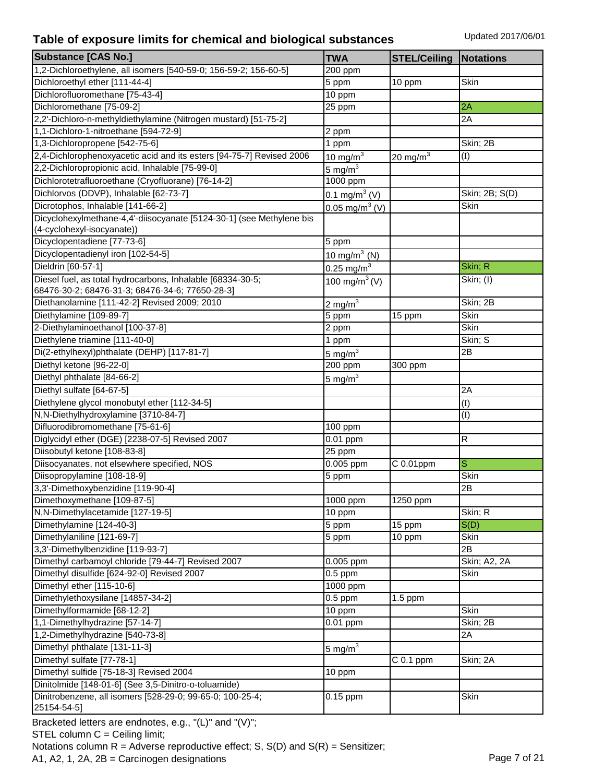| <b>Substance [CAS No.]</b>                                           | <b>TWA</b>                   | <b>STEL/Ceiling</b>    | <b>Notations</b> |
|----------------------------------------------------------------------|------------------------------|------------------------|------------------|
| 1,2-Dichloroethylene, all isomers [540-59-0; 156-59-2; 156-60-5]     | 200 ppm                      |                        |                  |
| Dichloroethyl ether [111-44-4]                                       | 5 ppm                        | 10 ppm                 | Skin             |
| Dichlorofluoromethane [75-43-4]                                      | 10 ppm                       |                        |                  |
| Dichloromethane [75-09-2]                                            | 25 ppm                       |                        | 2A               |
| 2,2'-Dichloro-n-methyldiethylamine (Nitrogen mustard) [51-75-2]      |                              |                        | 2A               |
| 1,1-Dichloro-1-nitroethane [594-72-9]                                | 2 ppm                        |                        |                  |
| 1,3-Dichloropropene [542-75-6]                                       | 1 ppm                        |                        | Skin; 2B         |
| 2,4-Dichlorophenoxyacetic acid and its esters [94-75-7] Revised 2006 | $10 \text{ mg/m}^3$          | 20 mg/m $3$            | (I)              |
| 2,2-Dichloropropionic acid, Inhalable [75-99-0]                      | 5 mg/m $^3$                  |                        |                  |
| Dichlorotetrafluoroethane (Cryofluorane) [76-14-2]                   | 1000 ppm                     |                        |                  |
| Dichlorvos (DDVP), Inhalable [62-73-7]                               | 0.1 mg/m <sup>3</sup> (V)    |                        | Skin; 2B; S(D)   |
| Dicrotophos, Inhalable [141-66-2]                                    | $0.05 \,\mathrm{mg/m^3}$ (V) |                        | Skin             |
| Dicyclohexylmethane-4,4'-diisocyanate [5124-30-1] (see Methylene bis |                              |                        |                  |
| (4-cyclohexyl-isocyanate))                                           |                              |                        |                  |
| Dicyclopentadiene [77-73-6]                                          | 5 ppm                        |                        |                  |
| Dicyclopentadienyl iron [102-54-5]                                   | 10 mg/m $3$ (N)              |                        |                  |
| Dieldrin [60-57-1]                                                   | 0.25 mg/m <sup>3</sup>       |                        | Skin; R          |
| Diesel fuel, as total hydrocarbons, Inhalable [68334-30-5;           | 100 mg/m <sup>3</sup> (V)    |                        | Skin; (I)        |
| 68476-30-2; 68476-31-3; 68476-34-6; 77650-28-3]                      |                              |                        |                  |
| Diethanolamine [111-42-2] Revised 2009; 2010                         | 2 mg/m $^3$                  |                        | Skin; 2B         |
| Diethylamine [109-89-7]                                              | 5 ppm                        | 15 ppm                 | Skin             |
| 2-Diethylaminoethanol [100-37-8]                                     | 2 ppm                        |                        | Skin             |
| Diethylene triamine [111-40-0]                                       | 1 ppm                        |                        | Skin; S          |
| Di(2-ethylhexyl)phthalate (DEHP) [117-81-7]                          | $5 \text{ mg/m}^3$           |                        | 2B               |
| Diethyl ketone [96-22-0]                                             | 200 ppm                      | 300 ppm                |                  |
| Diethyl phthalate [84-66-2]                                          | 5 mg/m $^3$                  |                        |                  |
| Diethyl sulfate [64-67-5]                                            |                              |                        | 2A               |
| Diethylene glycol monobutyl ether [112-34-5]                         |                              |                        | (I)              |
| N,N-Diethylhydroxylamine [3710-84-7]                                 |                              |                        | (I)              |
| Difluorodibromomethane [75-61-6]                                     | 100 ppm                      |                        |                  |
| Diglycidyl ether (DGE) [2238-07-5] Revised 2007                      | 0.01 ppm                     |                        | R                |
| Diisobutyl ketone [108-83-8]                                         | 25 ppm                       |                        |                  |
| Diisocyanates, not elsewhere specified, NOS                          | 0.005 ppm                    | C 0.01ppm              | $\mathbf S$      |
| Diisopropylamine [108-18-9]                                          | 5 ppm                        |                        | Skin             |
| 3,3'-Dimethoxybenzidine [119-90-4]                                   |                              |                        | 2B               |
| Dimethoxymethane [109-87-5]                                          | $1000$ ppm                   | 1250 ppm               |                  |
| N,N-Dimethylacetamide [127-19-5]                                     | 10 ppm                       |                        | Skin; R          |
| Dimethylamine [124-40-3]                                             | 5 ppm                        | 15 ppm                 | S(D)             |
| Dimethylaniline [121-69-7]                                           | 5 ppm                        | 10 ppm                 | Skin             |
| 3,3'-Dimethylbenzidine [119-93-7]                                    |                              |                        | 2B               |
| Dimethyl carbamoyl chloride [79-44-7] Revised 2007                   | 0.005 ppm                    |                        | Skin; A2, 2A     |
| Dimethyl disulfide [624-92-0] Revised 2007                           | $0.5$ ppm                    |                        | Skin             |
| Dimethyl ether [115-10-6]                                            | 1000 ppm                     |                        |                  |
| Dimethylethoxysilane [14857-34-2]                                    | $0.5$ ppm                    | $1.5$ ppm              |                  |
| Dimethylformamide [68-12-2]                                          | 10 ppm                       |                        | Skin             |
| 1,1-Dimethylhydrazine [57-14-7]                                      | 0.01 ppm                     |                        | Skin; 2B         |
| 1,2-Dimethylhydrazine [540-73-8]                                     |                              |                        | 2A               |
| Dimethyl phthalate [131-11-3]                                        | 5 mg/ $m3$                   |                        |                  |
| Dimethyl sulfate [77-78-1]                                           |                              | $\overline{C}$ 0.1 ppm | Skin; 2A         |
| Dimethyl sulfide [75-18-3] Revised 2004                              | 10 ppm                       |                        |                  |
| Dinitolmide [148-01-6] (See 3,5-Dinitro-o-toluamide)                 |                              |                        |                  |
| Dinitrobenzene, all isomers [528-29-0; 99-65-0; 100-25-4;            | $0.15$ ppm                   |                        | Skin             |
| 25154-54-5]                                                          |                              |                        |                  |

Bracketed letters are endnotes, e.g., "(L)" and "(V)"; STEL column C = Ceiling limit; Notations column  $R =$  Adverse reproductive effect; S, S(D) and S(R) = Sensitizer; A1, A2, 1, 2A, 2B = Carcinogen designations Page 7 of 21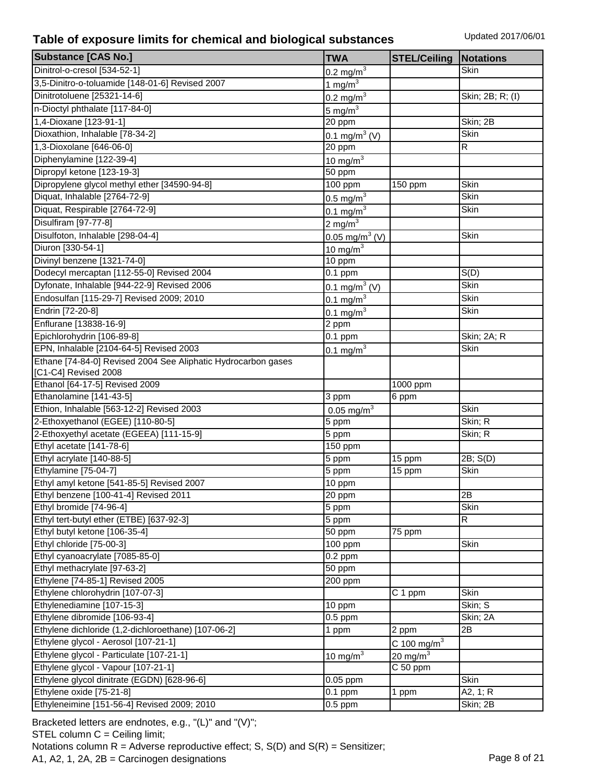| <b>Substance [CAS No.]</b>                                    | <b>TWA</b>                | <b>STEL/Ceiling</b>       | Notations              |
|---------------------------------------------------------------|---------------------------|---------------------------|------------------------|
| Dinitrol-o-cresol [534-52-1]                                  | $0.2$ mg/m <sup>3</sup>   |                           | Skin                   |
| 3,5-Dinitro-o-toluamide [148-01-6] Revised 2007               | $1 \text{ mg/m}^3$        |                           |                        |
| Dinitrotoluene [25321-14-6]                                   | $0.2 \text{ mg/m}^3$      |                           | Skin; 2B; R; (I)       |
| n-Dioctyl phthalate [117-84-0]                                | 5 mg/ $m3$                |                           |                        |
| 1,4-Dioxane [123-91-1]                                        | 20 ppm                    |                           | Skin; 2B               |
| Dioxathion, Inhalable [78-34-2]                               | 0.1 mg/m <sup>3</sup> (V) |                           | <b>Skin</b>            |
| 1,3-Dioxolane [646-06-0]                                      | 20 ppm                    |                           | R                      |
| Diphenylamine [122-39-4]                                      | 10 mg/m $3$               |                           |                        |
| Dipropyl ketone [123-19-3]                                    | 50 ppm                    |                           |                        |
| Dipropylene glycol methyl ether [34590-94-8]                  | 100 ppm                   | 150 ppm                   | Skin                   |
| Diquat, Inhalable [2764-72-9]                                 | $0.5 \text{ mg/m}^3$      |                           | <b>Skin</b>            |
| Diquat, Respirable [2764-72-9]                                | $0.1 \text{ mg/m}^3$      |                           | Skin                   |
| Disulfiram [97-77-8]                                          | $2 \text{ mg/m}^3$        |                           |                        |
| Disulfoton, Inhalable [298-04-4]                              | $0.05 \text{ mg/m}^3$ (V) |                           | Skin                   |
| Diuron [330-54-1]                                             | 10 mg/m $3$               |                           |                        |
| Divinyl benzene [1321-74-0]                                   | $\overline{10}$ ppm       |                           |                        |
| Dodecyl mercaptan [112-55-0] Revised 2004                     | $0.1$ ppm                 |                           | S(D)                   |
| Dyfonate, Inhalable [944-22-9] Revised 2006                   | 0.1 mg/m <sup>3</sup> (V) |                           | Skin                   |
| Endosulfan [115-29-7] Revised 2009; 2010                      |                           |                           | Skin                   |
| Endrin [72-20-8]                                              | $0.1 \text{ mg/m}^3$      |                           | Skin                   |
| Enflurane [13838-16-9]                                        | $0.1 \,\mathrm{mg/m}^3$   |                           |                        |
| Epichlorohydrin [106-89-8]                                    | 2 ppm                     |                           |                        |
| EPN, Inhalable [2104-64-5] Revised 2003                       | $0.1$ ppm                 |                           | Skin; 2A; R<br>Skin    |
| Ethane [74-84-0] Revised 2004 See Aliphatic Hydrocarbon gases | 0.1 mg/m $^{3}$           |                           |                        |
| [C1-C4] Revised 2008                                          |                           |                           |                        |
| Ethanol [64-17-5] Revised 2009                                |                           | 1000 ppm                  |                        |
| Ethanolamine [141-43-5]                                       | 3 ppm                     | 6 ppm                     |                        |
| Ethion, Inhalable [563-12-2] Revised 2003                     | 0.05 mg/m <sup>3</sup>    |                           | Skin                   |
| 2-Ethoxyethanol (EGEE) [110-80-5]                             | 5 ppm                     |                           | Skin; R                |
| 2-Ethoxyethyl acetate (EGEEA) [111-15-9]                      | 5 ppm                     |                           | Skin; R                |
| Ethyl acetate [141-78-6]                                      | 150 ppm                   |                           |                        |
| Ethyl acrylate [140-88-5]                                     | 5 ppm                     | 15 ppm                    | $\overline{2B}$ ; S(D) |
| Ethylamine [75-04-7]                                          | 5 ppm                     | 15 ppm                    | Skin                   |
| Ethyl amyl ketone [541-85-5] Revised 2007                     | 10 ppm                    |                           |                        |
| Ethyl benzene [100-41-4] Revised 2011                         | 20 ppm                    |                           | 2B                     |
| Ethyl bromide [74-96-4]                                       | 5 ppm                     |                           | Skin                   |
| Ethyl tert-butyl ether (ETBE) [637-92-3]                      | 5 ppm                     |                           | R                      |
| Ethyl butyl ketone [106-35-4]                                 | $50$ ppm                  | 75 ppm                    |                        |
| Ethyl chloride [75-00-3]                                      | 100 ppm                   |                           | Skin                   |
| Ethyl cyanoacrylate [7085-85-0]                               | $0.2$ ppm                 |                           |                        |
| Ethyl methacrylate [97-63-2]                                  | 50 ppm                    |                           |                        |
| Ethylene [74-85-1] Revised 2005                               | 200 ppm                   |                           |                        |
| Ethylene chlorohydrin [107-07-3]                              |                           | C 1 ppm                   | Skin                   |
| Ethylenediamine [107-15-3]                                    | 10 ppm                    |                           | Skin; S                |
| Ethylene dibromide [106-93-4]                                 | $0.5$ ppm                 |                           | Skin; 2A               |
| Ethylene dichloride (1,2-dichloroethane) [107-06-2]           | 1 ppm                     | 2 ppm                     | 2B                     |
| Ethylene glycol - Aerosol [107-21-1]                          |                           | $C$ 100 mg/m <sup>3</sup> |                        |
| Ethylene glycol - Particulate [107-21-1]                      | 10 mg/m $3$               | 20 mg/m $3$               |                        |
| Ethylene glycol - Vapour [107-21-1]                           |                           | C 50 ppm                  |                        |
| Ethylene glycol dinitrate (EGDN) [628-96-6]                   | 0.05 ppm                  |                           | Skin                   |
| Ethylene oxide [75-21-8]                                      | $0.1$ ppm                 | 1 ppm                     | A2, 1; R               |
| Ethyleneimine [151-56-4] Revised 2009; 2010                   | $0.5$ ppm                 |                           | Skin; 2B               |
|                                                               |                           |                           |                        |

Bracketed letters are endnotes, e.g., "(L)" and "(V)"; STEL column C = Ceiling limit; Notations column  $R =$  Adverse reproductive effect; S,  $S(D)$  and  $S(R) =$  Sensitizer; A1, A2, 1, 2A, 2B = Carcinogen designations Page 8 of 21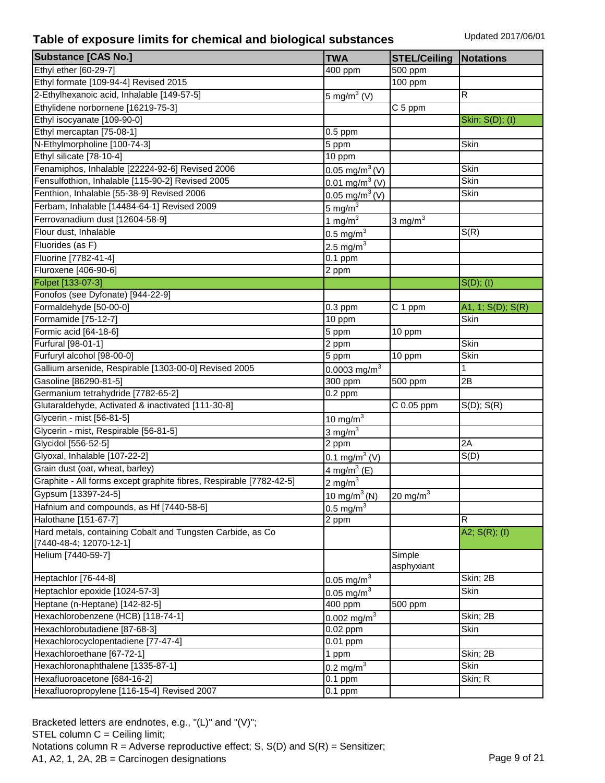| <b>Substance [CAS No.]</b>                                          | <b>TWA</b>                                          |                                |                           |
|---------------------------------------------------------------------|-----------------------------------------------------|--------------------------------|---------------------------|
| Ethyl ether [60-29-7]                                               |                                                     | <b>STEL/Ceiling</b>            | <b>Notations</b>          |
| Ethyl formate [109-94-4] Revised 2015                               | $\overline{4}00$ ppm                                | 500 ppm<br>$\frac{1}{100}$ ppm |                           |
| 2-Ethylhexanoic acid, Inhalable [149-57-5]                          |                                                     |                                | R                         |
| Ethylidene norbornene [16219-75-3]                                  | $5 \text{ mg/m}^3$ (V)                              | C 5 ppm                        |                           |
| Ethyl isocyanate [109-90-0]                                         |                                                     |                                |                           |
| Ethyl mercaptan [75-08-1]                                           | $\overline{0.5}$ ppm                                |                                | Skin; S(D); (I)           |
| N-Ethylmorpholine [100-74-3]                                        | 5 ppm                                               |                                | Skin                      |
| Ethyl silicate [78-10-4]                                            | 10 ppm                                              |                                |                           |
| Fenamiphos, Inhalable [22224-92-6] Revised 2006                     | $0.05 \text{ mg/m}^3$ (V)                           |                                | Skin                      |
| Fensulfothion, Inhalable [115-90-2] Revised 2005                    | 0.01 mg/m <sup>3</sup> (V)                          |                                | Skin                      |
| Fenthion, Inhalable [55-38-9] Revised 2006                          | $0.05 \text{ mg/m}^3$ (V)                           |                                | Skin                      |
| Ferbam, Inhalable [14484-64-1] Revised 2009                         |                                                     |                                |                           |
| Ferrovanadium dust [12604-58-9]                                     | 5 mg/m $3$                                          |                                |                           |
| Flour dust, Inhalable                                               | $1 \text{ mg/m}^3$                                  | 3 mg/ $m3$                     | S(R)                      |
| Fluorides (as F)                                                    | $0.5 \text{ mg/m}^3$                                |                                |                           |
|                                                                     | $2.5 \text{ mg/m}^3$                                |                                |                           |
| Fluorine [7782-41-4]                                                | $0.1$ ppm                                           |                                |                           |
| Fluroxene [406-90-6]                                                | 2 ppm                                               |                                |                           |
| Folpet [133-07-3]                                                   |                                                     |                                | S(D); (I)                 |
| Fonofos (see Dyfonate) [944-22-9]<br>Formaldehyde [50-00-0]         |                                                     |                                |                           |
| Formamide [75-12-7]                                                 | $0.3$ ppm                                           | C 1 ppm                        | A1, 1; S(D); S(R)<br>Skin |
| Formic acid [64-18-6]                                               | 10 ppm<br>5 ppm                                     | 10 ppm                         |                           |
| Furfural [98-01-1]                                                  | 2 ppm                                               |                                | Skin                      |
| Furfuryl alcohol [98-00-0]                                          | 5 ppm                                               | 10 ppm                         | Skin                      |
| Gallium arsenide, Respirable [1303-00-0] Revised 2005               | $0.0003$ mg/m <sup>3</sup>                          |                                | 1                         |
| Gasoline [86290-81-5]                                               | 300 ppm                                             | 500 ppm                        | 2B                        |
| Germanium tetrahydride [7782-65-2]                                  | $\overline{0.2}$ ppm                                |                                |                           |
| Glutaraldehyde, Activated & inactivated [111-30-8]                  |                                                     | C 0.05 ppm                     | $S(D)$ ; $S(R)$           |
| Glycerin - mist [56-81-5]                                           | $10 \text{ mg/m}^3$                                 |                                |                           |
| Glycerin - mist, Respirable [56-81-5]                               | $3 \text{ mg/m}^3$                                  |                                |                           |
| Glycidol [556-52-5]                                                 | 2 ppm                                               |                                | 2A                        |
| Glyoxal, Inhalable [107-22-2]                                       | $0.1 \text{ mg/m}^3$ (V)                            |                                | S(D)                      |
| Grain dust (oat, wheat, barley)                                     | 4 mg/m <sup>3</sup> (E)                             |                                |                           |
| Graphite - All forms except graphite fibres, Respirable [7782-42-5] | $2 \text{ mg/m}^3$                                  |                                |                           |
| Gypsum [13397-24-5]                                                 |                                                     | 20 mg/m $3$                    |                           |
| Hafnium and compounds, as Hf [7440-58-6]                            | 10 mg/m <sup>3</sup> (N)<br>$0.5$ mg/m <sup>3</sup> |                                |                           |
| Halothane [151-67-7]                                                | 2 ppm                                               |                                | R                         |
| Hard metals, containing Cobalt and Tungsten Carbide, as Co          |                                                     |                                | A2; $S(R)$ ; (I)          |
| [7440-48-4; 12070-12-1]                                             |                                                     |                                |                           |
| Helium [7440-59-7]                                                  |                                                     | Simple                         |                           |
|                                                                     |                                                     | asphyxiant                     |                           |
| Heptachlor [76-44-8]                                                | $0.05 \,\mathrm{mg/m}^3$                            |                                | Skin; 2B                  |
| Heptachlor epoxide [1024-57-3]                                      | 0.05 mg/m <sup>3</sup>                              |                                | Skin                      |
| Heptane (n-Heptane) [142-82-5]                                      | 400 ppm                                             | 500 ppm                        |                           |
| Hexachlorobenzene (HCB) [118-74-1]                                  | 0.002 mg/m $^{3}$                                   |                                | Skin; 2B                  |
| Hexachlorobutadiene [87-68-3]                                       | 0.02 ppm                                            |                                | Skin                      |
| Hexachlorocyclopentadiene [77-47-4]                                 | 0.01 ppm                                            |                                |                           |
| Hexachloroethane [67-72-1]                                          | 1 ppm                                               |                                | Skin; 2B                  |
| Hexachloronaphthalene [1335-87-1]                                   | $0.2 \text{ mg/m}^3$                                |                                | Skin                      |
| Hexafluoroacetone [684-16-2]                                        | $0.1$ ppm                                           |                                | Skin; R                   |
| Hexafluoropropylene [116-15-4] Revised 2007                         | $0.1$ ppm                                           |                                |                           |

Bracketed letters are endnotes, e.g., "(L)" and "(V)"; STEL column C = Ceiling limit; Notations column  $R =$  Adverse reproductive effect; S,  $S(D)$  and  $S(R) =$  Sensitizer; A1, A2, 1, 2A, 2B = Carcinogen designations Page 9 of 21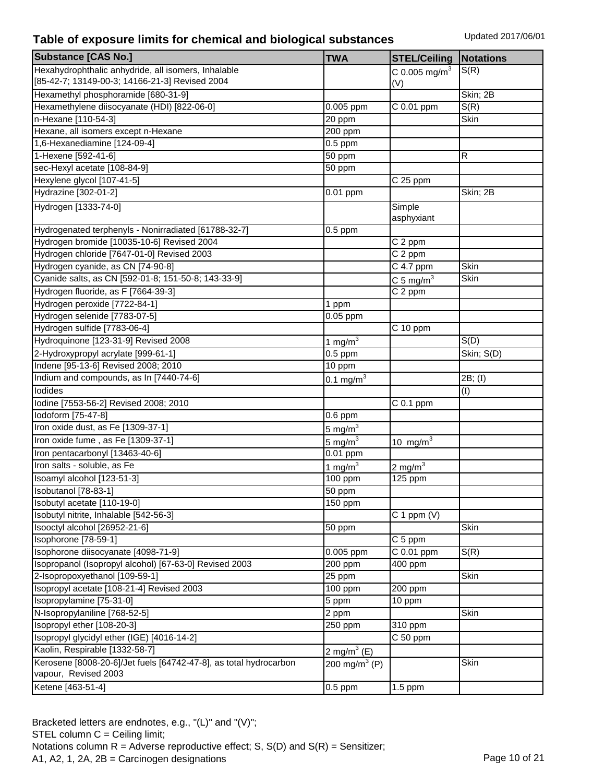| <b>Substance [CAS No.]</b>                                                                            | <b>TWA</b>           | <b>STEL/Ceiling</b>       | <b>Notations</b>  |
|-------------------------------------------------------------------------------------------------------|----------------------|---------------------------|-------------------|
| Hexahydrophthalic anhydride, all isomers, Inhalable<br>[85-42-7; 13149-00-3; 14166-21-3] Revised 2004 |                      | C 0.005 mg/m <sup>3</sup> | S(R)              |
| Hexamethyl phosphoramide [680-31-9]                                                                   |                      | (V)                       | Skin; 2B          |
| Hexamethylene diisocyanate (HDI) [822-06-0]                                                           | 0.005 ppm            | C 0.01 ppm                | S(R)              |
| n-Hexane [110-54-3]                                                                                   | 20 ppm               |                           | Skin              |
| Hexane, all isomers except n-Hexane                                                                   | $200$ ppm            |                           |                   |
| 1,6-Hexanediamine [124-09-4]                                                                          | $0.5$ ppm            |                           |                   |
| 1-Hexene [592-41-6]                                                                                   | 50 ppm               |                           | R                 |
| sec-Hexyl acetate [108-84-9]                                                                          | 50 ppm               |                           |                   |
| Hexylene glycol [107-41-5]                                                                            |                      | $C25$ ppm                 |                   |
| Hydrazine [302-01-2]                                                                                  | 0.01 ppm             |                           | Skin; 2B          |
|                                                                                                       |                      |                           |                   |
| Hydrogen [1333-74-0]                                                                                  |                      | Simple<br>asphyxiant      |                   |
| Hydrogenated terphenyls - Nonirradiated [61788-32-7]                                                  | $0.5$ ppm            |                           |                   |
| Hydrogen bromide [10035-10-6] Revised 2004                                                            |                      | C 2 ppm                   |                   |
| Hydrogen chloride [7647-01-0] Revised 2003                                                            |                      | $\overline{C2}$ ppm       |                   |
| Hydrogen cyanide, as CN [74-90-8]                                                                     |                      | C 4.7 ppm                 | Skin              |
| Cyanide salts, as CN [592-01-8; 151-50-8; 143-33-9]                                                   |                      | C 5 mg/m $3$              | Skin              |
| Hydrogen fluoride, as F [7664-39-3]                                                                   |                      | C 2 ppm                   |                   |
| Hydrogen peroxide [7722-84-1]                                                                         | 1 ppm                |                           |                   |
| Hydrogen selenide [7783-07-5]                                                                         | 0.05 ppm             |                           |                   |
| Hydrogen sulfide [7783-06-4]                                                                          |                      | $C$ 10 ppm                |                   |
| Hydroquinone [123-31-9] Revised 2008                                                                  | $1 \text{ mg/m}^3$   |                           | $\overline{S}(D)$ |
| 2-Hydroxypropyl acrylate [999-61-1]                                                                   | $0.5$ ppm            |                           | Skin; S(D)        |
| Indene [95-13-6] Revised 2008; 2010                                                                   | 10 ppm               |                           |                   |
| Indium and compounds, as In [7440-74-6]                                                               | $0.1 \text{ mg/m}^3$ |                           | 2B; (I)           |
| lodides                                                                                               |                      |                           | (I)               |
| Iodine [7553-56-2] Revised 2008; 2010                                                                 |                      | $C$ 0.1 ppm               |                   |
| lodoform [75-47-8]                                                                                    | $0.6$ ppm            |                           |                   |
| Iron oxide dust, as Fe [1309-37-1]                                                                    | 5 mg/ $m3$           |                           |                   |
| Iron oxide fume, as Fe [1309-37-1]                                                                    | $5 \text{ mg/m}^3$   | 10 mg/ $m3$               |                   |
| Iron pentacarbonyl [13463-40-6]                                                                       | $0.01$ ppm           |                           |                   |
| Iron salts - soluble, as Fe                                                                           | 1 mg/m $3$           | 2 mg/ $m3$                |                   |
| Isoamyl alcohol [123-51-3]                                                                            | 100 ppm              | 125 ppm                   |                   |
| Isobutanol [78-83-1]                                                                                  | $50$ ppm             |                           |                   |
| Isobutyl acetate [110-19-0]                                                                           | 150 ppm              |                           |                   |
| Isobutyl nitrite, Inhalable [542-56-3]                                                                |                      | $C 1$ ppm $(V)$           |                   |
| Isooctyl alcohol [26952-21-6]                                                                         | 50 ppm               |                           | Skin              |
| Isophorone [78-59-1]                                                                                  |                      | C 5 ppm                   |                   |
| Isophorone diisocyanate [4098-71-9]                                                                   | 0.005 ppm            | C 0.01 ppm                | S(R)              |
| Isopropanol (Isopropyl alcohol) [67-63-0] Revised 2003                                                | 200 ppm              | 400 ppm                   |                   |
| 2-Isopropoxyethanol [109-59-1]                                                                        | 25 ppm               |                           | Skin              |
| Isopropyl acetate [108-21-4] Revised 2003                                                             | 100 ppm              | 200 ppm                   |                   |
| Isopropylamine [75-31-0]                                                                              | 5 ppm                | 10 ppm                    |                   |
| N-Isopropylaniline [768-52-5]                                                                         | 2 ppm                |                           | Skin              |
| Isopropyl ether [108-20-3]                                                                            | 250 ppm              | 310 ppm                   |                   |
| Isopropyl glycidyl ether (IGE) [4016-14-2]                                                            |                      | $C50$ ppm                 |                   |
| Kaolin, Respirable [1332-58-7]                                                                        |                      |                           |                   |
| Kerosene [8008-20-6]/Jet fuels [64742-47-8], as total hydrocarbon                                     | 2 mg/m $^3$ (E)      |                           | Skin              |
| vapour, Revised 2003                                                                                  | 200 mg/m $3$ (P)     |                           |                   |
| Ketene [463-51-4]                                                                                     | $0.5$ ppm            | 1.5 ppm                   |                   |

Bracketed letters are endnotes, e.g., "(L)" and "(V)"; STEL column C = Ceiling limit; Notations column  $R =$  Adverse reproductive effect; S,  $S(D)$  and  $S(R) =$  Sensitizer; A1, A2, 1, 2A, 2B = Carcinogen designations Page 10 of 21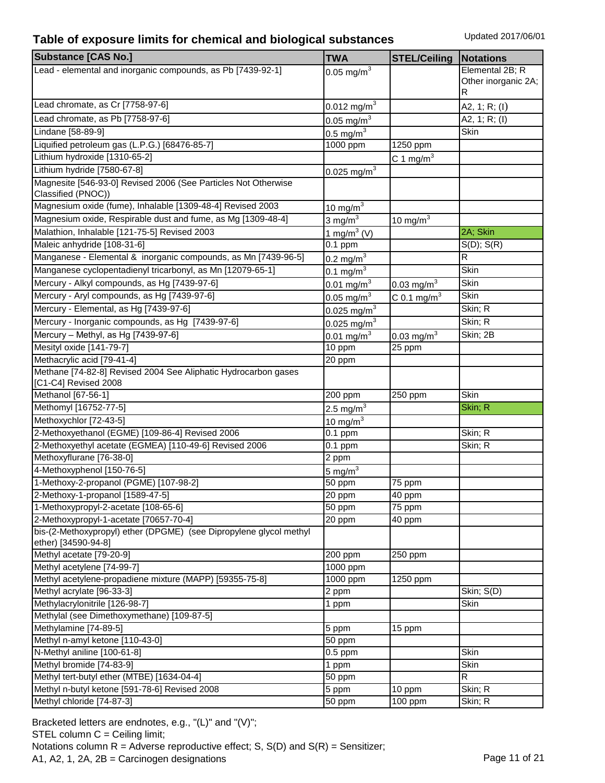| <b>Substance [CAS No.]</b>                                                                                   | <b>TWA</b>                | <b>STEL/Ceiling</b>      | Notations           |
|--------------------------------------------------------------------------------------------------------------|---------------------------|--------------------------|---------------------|
| Lead - elemental and inorganic compounds, as Pb [7439-92-1]                                                  | $0.05$ mg/m <sup>3</sup>  |                          | Elemental 2B; R     |
|                                                                                                              |                           |                          | Other inorganic 2A; |
|                                                                                                              |                           |                          | R                   |
| Lead chromate, as Cr [7758-97-6]                                                                             | $0.012 \text{ mg/m}^3$    |                          | A2, 1; R; $(I)$     |
| Lead chromate, as Pb [7758-97-6]                                                                             | 0.05 mg/m <sup>3</sup>    |                          | A2, 1; R; (I)       |
| Lindane [58-89-9]                                                                                            | $0.5$ mg/m <sup>3</sup>   |                          | Skin                |
| Liquified petroleum gas (L.P.G.) [68476-85-7]                                                                | 1000 ppm                  | 1250 ppm                 |                     |
| Lithium hydroxide [1310-65-2]                                                                                |                           | C 1 mg/m $3$             |                     |
| Lithium hydride [7580-67-8]                                                                                  | $0.025$ mg/m <sup>3</sup> |                          |                     |
| Magnesite [546-93-0] Revised 2006 (See Particles Not Otherwise                                               |                           |                          |                     |
| Classified (PNOC))                                                                                           |                           |                          |                     |
| Magnesium oxide (fume), Inhalable [1309-48-4] Revised 2003                                                   | $10 \text{ mg/m}^3$       |                          |                     |
| Magnesium oxide, Respirable dust and fume, as Mg [1309-48-4]                                                 | 3 mg/ $m3$                | 10 mg/m $3$              |                     |
| Malathion, Inhalable [121-75-5] Revised 2003                                                                 | 1 mg/m <sup>3</sup> (V)   |                          | 2A; Skin            |
| Maleic anhydride [108-31-6]                                                                                  | $0.1$ ppm                 |                          | $S(D)$ ; $S(R)$     |
| Manganese - Elemental & inorganic compounds, as Mn [7439-96-5]                                               | 0.2 mg/m <sup>3</sup>     |                          | R                   |
| Manganese cyclopentadienyl tricarbonyl, as Mn [12079-65-1]                                                   | $0.1 \text{ mg/m}^3$      |                          | Skin                |
| Mercury - Alkyl compounds, as Hg [7439-97-6]                                                                 | $0.01 \text{ mg/m}^3$     | $0.03 \text{ mg/m}^3$    | Skin                |
| Mercury - Aryl compounds, as Hg [7439-97-6]                                                                  | 0.05 mg/m <sup>3</sup>    | C 0.1 mg/m <sup>3</sup>  | Skin                |
| Mercury - Elemental, as Hg [7439-97-6]                                                                       | 0.025 mg/m <sup>3</sup>   |                          | Skin; R             |
| Mercury - Inorganic compounds, as Hg [7439-97-6]                                                             | $0.025$ mg/m <sup>3</sup> |                          | Skin; R             |
| Mercury - Methyl, as Hg [7439-97-6]                                                                          | $0.01$ mg/m <sup>3</sup>  | $0.03$ mg/m <sup>3</sup> | Skin; 2B            |
| Mesityl oxide [141-79-7]                                                                                     | 10 ppm                    | 25 ppm                   |                     |
| Methacrylic acid [79-41-4]                                                                                   | 20 ppm                    |                          |                     |
| Methane [74-82-8] Revised 2004 See Aliphatic Hydrocarbon gases                                               |                           |                          |                     |
| [C1-C4] Revised 2008                                                                                         |                           |                          |                     |
| Methanol [67-56-1]                                                                                           | 200 ppm                   | 250 ppm                  | <b>Skin</b>         |
| Methomyl [16752-77-5]                                                                                        | $2.5 \text{ mg/m}^3$      |                          | Skin; R             |
| Methoxychlor [72-43-5]                                                                                       | 10 mg/m $3$               |                          |                     |
| 2-Methoxyethanol (EGME) [109-86-4] Revised 2006                                                              | $0.1$ ppm                 |                          | Skin; R             |
| 2-Methoxyethyl acetate (EGMEA) [110-49-6] Revised 2006                                                       | $0.1$ ppm                 |                          | Skin; R             |
| Methoxyflurane [76-38-0]                                                                                     | 2 ppm                     |                          |                     |
| 4-Methoxyphenol [150-76-5]                                                                                   | 5 mg/ $m3$                |                          |                     |
| 1-Methoxy-2-propanol (PGME) [107-98-2]                                                                       | 50 ppm                    | 75 ppm                   |                     |
| 2-Methoxy-1-propanol [1589-47-5]                                                                             | 20 ppm                    | 40 ppm                   |                     |
| 1-Methoxypropyl-2-acetate [108-65-6]                                                                         | 50 ppm                    | 75 ppm                   |                     |
| 2-Methoxypropyl-1-acetate [70657-70-4]<br>bis-(2-Methoxypropyl) ether (DPGME) (see Dipropylene glycol methyl | 20 ppm                    | 40 ppm                   |                     |
| ether) [34590-94-8]                                                                                          |                           |                          |                     |
| Methyl acetate [79-20-9]                                                                                     | 200 ppm                   | 250 ppm                  |                     |
| Methyl acetylene [74-99-7]                                                                                   | 1000 ppm                  |                          |                     |
| Methyl acetylene-propadiene mixture (MAPP) [59355-75-8]                                                      | 1000 ppm                  | 1250 ppm                 |                     |
| Methyl acrylate [96-33-3]                                                                                    | 2 ppm                     |                          | Skin; S(D)          |
| Methylacrylonitrile [126-98-7]                                                                               | 1 ppm                     |                          | Skin                |
| Methylal (see Dimethoxymethane) [109-87-5]                                                                   |                           |                          |                     |
| Methylamine [74-89-5]                                                                                        | 5 ppm                     | 15 ppm                   |                     |
| Methyl n-amyl ketone [110-43-0]                                                                              | 50 ppm                    |                          |                     |
| N-Methyl aniline [100-61-8]                                                                                  | $0.5$ ppm                 |                          | Skin                |
| Methyl bromide [74-83-9]                                                                                     | 1 ppm                     |                          | Skin                |
| Methyl tert-butyl ether (MTBE) [1634-04-4]                                                                   | 50 ppm                    |                          | R                   |
| Methyl n-butyl ketone [591-78-6] Revised 2008                                                                | 5 ppm                     | 10 ppm                   | Skin; R             |
| Methyl chloride [74-87-3]                                                                                    | 50 ppm                    | 100 ppm                  | Skin; R             |

Bracketed letters are endnotes, e.g., "(L)" and "(V)"; STEL column C = Ceiling limit; Notations column  $R =$  Adverse reproductive effect; S,  $S(D)$  and  $S(R) =$  Sensitizer; A1, A2, 1, 2A, 2B = Carcinogen designations Page 11 of 21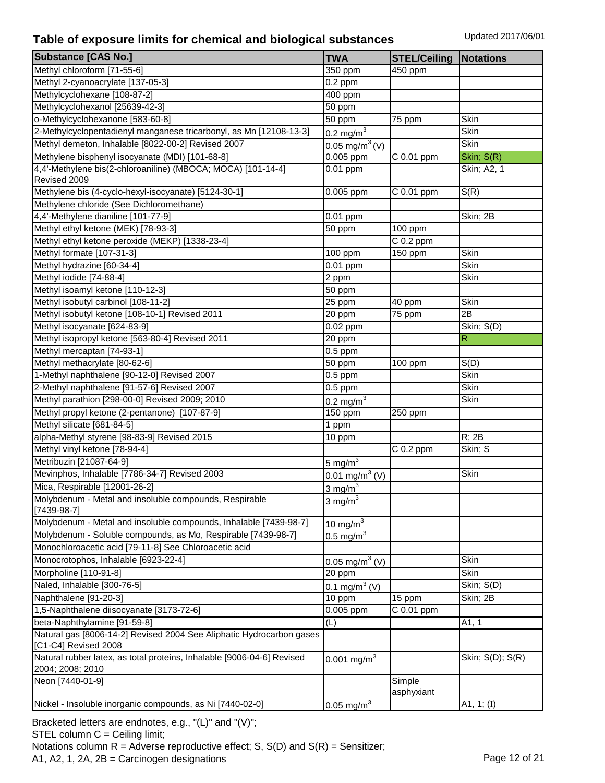| <b>Substance [CAS No.]</b>                                             | <b>TWA</b>                 | <b>STEL/Ceiling</b>  | <b>Notations</b> |
|------------------------------------------------------------------------|----------------------------|----------------------|------------------|
| Methyl chloroform [71-55-6]                                            | $350$ ppm                  | $\overline{4}50$ ppm |                  |
| Methyl 2-cyanoacrylate [137-05-3]                                      | $0.2$ ppm                  |                      |                  |
| Methylcyclohexane [108-87-2]                                           | 400 ppm                    |                      |                  |
| Methylcyclohexanol [25639-42-3]                                        | 50 ppm                     |                      |                  |
| o-Methylcyclohexanone [583-60-8]                                       | 50 ppm                     | 75 ppm               | Skin             |
| 2-Methylcyclopentadienyl manganese tricarbonyl, as Mn [12108-13-3]     | 0.2 mg/m $^{3}$            |                      | Skin             |
| Methyl demeton, Inhalable [8022-00-2] Revised 2007                     | 0.05 mg/m <sup>3</sup> (V) |                      | Skin             |
| Methylene bisphenyl isocyanate (MDI) [101-68-8]                        | 0.005 ppm                  | C 0.01 ppm           | Skin; S(R)       |
| 4,4'-Methylene bis(2-chloroaniline) (MBOCA; MOCA) [101-14-4]           | $0.01$ ppm                 |                      | Skin; A2, 1      |
| Revised 2009                                                           |                            |                      |                  |
| Methylene bis (4-cyclo-hexyl-isocyanate) [5124-30-1]                   | 0.005 ppm                  | C 0.01 ppm           | S(R)             |
| Methylene chloride (See Dichloromethane)                               |                            |                      |                  |
| 4,4'-Methylene dianiline [101-77-9]                                    | 0.01 ppm                   |                      | Skin; 2B         |
| Methyl ethyl ketone (MEK) [78-93-3]                                    | 50 ppm                     | 100 ppm              |                  |
| Methyl ethyl ketone peroxide (MEKP) [1338-23-4]                        |                            | $C$ 0.2 ppm          |                  |
| Methyl formate [107-31-3]                                              | 100 ppm                    | 150 ppm              | Skin             |
| Methyl hydrazine [60-34-4]                                             | $0.01$ ppm                 |                      | Skin             |
| Methyl iodide [74-88-4]                                                | 2 ppm                      |                      | Skin             |
| Methyl isoamyl ketone [110-12-3]                                       | 50 ppm                     |                      |                  |
| Methyl isobutyl carbinol [108-11-2]                                    | $\overline{25}$ ppm        | 40 ppm               | Skin             |
| Methyl isobutyl ketone [108-10-1] Revised 2011                         | 20 ppm                     | 75 ppm               | 2B               |
| Methyl isocyanate [624-83-9]                                           | 0.02 ppm                   |                      | Skin; S(D)       |
| Methyl isopropyl ketone [563-80-4] Revised 2011                        | 20 ppm                     |                      | $\mathsf{R}$     |
| Methyl mercaptan [74-93-1]                                             | $0.5$ ppm                  |                      |                  |
| Methyl methacrylate [80-62-6]                                          | 50 ppm                     | 100 ppm              | S(D)             |
| 1-Methyl naphthalene [90-12-0] Revised 2007                            | $0.5$ ppm                  |                      | Skin             |
| 2-Methyl naphthalene [91-57-6] Revised 2007                            | $0.5$ ppm                  |                      | Skin             |
| Methyl parathion [298-00-0] Revised 2009; 2010                         | 0.2 mg/m $^{3}$            |                      | Skin             |
| Methyl propyl ketone (2-pentanone) [107-87-9]                          | 150 ppm                    | 250 ppm              |                  |
| Methyl silicate [681-84-5]                                             | 1 ppm                      |                      |                  |
| alpha-Methyl styrene [98-83-9] Revised 2015                            | 10 ppm                     |                      | R; 2B            |
| Methyl vinyl ketone [78-94-4]                                          |                            | $C$ 0.2 ppm          | Skin; S          |
| Metribuzin [21087-64-9]                                                | $5 \text{ mg/m}^3$         |                      |                  |
| Mevinphos, Inhalable [7786-34-7] Revised 2003                          | 0.01 mg/m <sup>3</sup> (V) |                      | Skin             |
| Mica, Respirable [12001-26-2]                                          | 3 mg/ $m3$                 |                      |                  |
| Molybdenum - Metal and insoluble compounds, Respirable                 | $3 \text{ mg/m}^3$         |                      |                  |
| $[7439-98-7]$                                                          |                            |                      |                  |
| Molybdenum - Metal and insoluble compounds, Inhalable [7439-98-7]      | $10 \text{ mg/m}^3$        |                      |                  |
| Molybdenum - Soluble compounds, as Mo, Respirable [7439-98-7]          | 0.5 mg/m $3$               |                      |                  |
| Monochloroacetic acid [79-11-8] See Chloroacetic acid                  |                            |                      |                  |
| Monocrotophos, Inhalable [6923-22-4]                                   | $0.05 \text{ mg/m}^3$ (V)  |                      | Skin             |
| Morpholine [110-91-8]                                                  | 20 ppm                     |                      | Skin             |
| Naled, Inhalable [300-76-5]                                            | 0.1 mg/m <sup>3</sup> (V)  |                      | Skin; S(D)       |
| Naphthalene [91-20-3]                                                  | $10$ ppm                   | 15 ppm               | Skin; 2B         |
| 1,5-Naphthalene diisocyanate [3173-72-6]                               | $0.005$ ppm                | $C$ 0.01 ppm         |                  |
| beta-Naphthylamine [91-59-8]                                           | (L)                        |                      | A1, 1            |
| Natural gas [8006-14-2] Revised 2004 See Aliphatic Hydrocarbon gases   |                            |                      |                  |
| [C1-C4] Revised 2008                                                   |                            |                      |                  |
| Natural rubber latex, as total proteins, Inhalable [9006-04-6] Revised | $0.001$ mg/m <sup>3</sup>  |                      | Skin; S(D); S(R) |
| 2004; 2008; 2010                                                       |                            |                      |                  |
| Neon [7440-01-9]                                                       |                            | Simple               |                  |
|                                                                        |                            | asphyxiant           |                  |
| Nickel - Insoluble inorganic compounds, as Ni [7440-02-0]              | $0.05 \text{ mg/m}^3$      |                      | A1, $1; (I)$     |

Bracketed letters are endnotes, e.g., "(L)" and "(V)"; STEL column C = Ceiling limit; Notations column  $R =$  Adverse reproductive effect; S,  $S(D)$  and  $S(R) =$  Sensitizer; A1, A2, 1, 2A, 2B = Carcinogen designations Page 12 of 21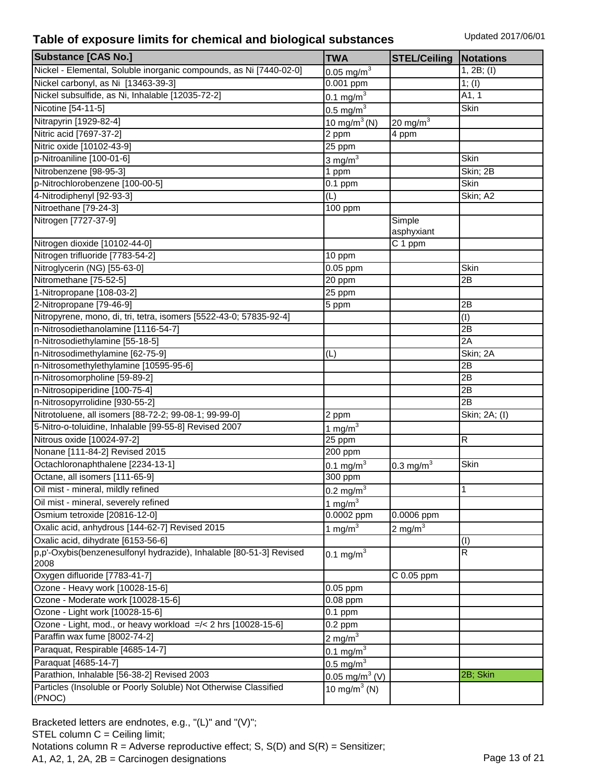| <b>Substance [CAS No.]</b>                                                  | <b>TWA</b>                   | <b>STEL/Ceiling</b>     | <b>Notations</b>        |
|-----------------------------------------------------------------------------|------------------------------|-------------------------|-------------------------|
| Nickel - Elemental, Soluble inorganic compounds, as Ni [7440-02-0]          | $0.05 \text{ mg/m}^3$        |                         | 1, 2B; (I)              |
| Nickel carbonyl, as Ni [13463-39-3]                                         | $\overline{0.001}$ ppm       |                         | 1; (I)                  |
| Nickel subsulfide, as Ni, Inhalable [12035-72-2]                            | 0.1 mg/m <sup>3</sup>        |                         | A1, 1                   |
| Nicotine [54-11-5]                                                          | $0.5 \text{ mg/m}^3$         |                         | Skin                    |
| Nitrapyrin [1929-82-4]                                                      | 10 mg/m <sup>3</sup> (N)     | 20 mg/m $3$             |                         |
| Nitric acid [7697-37-2]                                                     | 2 ppm                        | 4 ppm                   |                         |
| Nitric oxide [10102-43-9]                                                   | 25 ppm                       |                         |                         |
| p-Nitroaniline [100-01-6]                                                   | $3 \text{ mg/m}^3$           |                         | Skin                    |
| Nitrobenzene [98-95-3]                                                      | 1 ppm                        |                         | Skin; 2B                |
| p-Nitrochlorobenzene [100-00-5]                                             | $0.1$ ppm                    |                         | Skin                    |
| 4-Nitrodiphenyl [92-93-3]                                                   | (L)                          |                         | Skin; A2                |
| Nitroethane [79-24-3]                                                       | 100 ppm                      |                         |                         |
| Nitrogen [7727-37-9]                                                        |                              | Simple                  |                         |
|                                                                             |                              | asphyxiant              |                         |
| Nitrogen dioxide [10102-44-0]                                               |                              | C 1 ppm                 |                         |
| Nitrogen trifluoride [7783-54-2]                                            | 10 ppm                       |                         |                         |
| Nitroglycerin (NG) [55-63-0]                                                | $0.05$ ppm                   |                         | Skin                    |
| Nitromethane [75-52-5]                                                      | 20 ppm                       |                         | 2B                      |
| 1-Nitropropane [108-03-2]                                                   | $\overline{2}5$ ppm          |                         |                         |
| 2-Nitropropane [79-46-9]                                                    | 5 ppm                        |                         | 2B                      |
| Nitropyrene, mono, di, tri, tetra, isomers [5522-43-0; 57835-92-4]          |                              |                         | (I)                     |
| n-Nitrosodiethanolamine [1116-54-7]                                         |                              |                         | 2B                      |
| n-Nitrosodiethylamine [55-18-5]                                             |                              |                         | 2A                      |
| n-Nitrosodimethylamine [62-75-9]                                            | (L)                          |                         | Skin; 2A                |
| n-Nitrosomethylethylamine [10595-95-6]                                      |                              |                         | 2B                      |
| n-Nitrosomorpholine [59-89-2]                                               |                              |                         | 2B                      |
| n-Nitrosopiperidine [100-75-4]                                              |                              |                         | $\overline{2B}$         |
| n-Nitrosopyrrolidine [930-55-2]                                             |                              |                         | 2B                      |
| Nitrotoluene, all isomers [88-72-2; 99-08-1; 99-99-0]                       | 2 ppm                        |                         | Skin; 2A; (I)           |
| 5-Nitro-o-toluidine, Inhalable [99-55-8] Revised 2007                       | 1 mg/m $3$                   |                         |                         |
| Nitrous oxide [10024-97-2]                                                  | 25 ppm                       |                         | R                       |
| Nonane [111-84-2] Revised 2015                                              | 200 ppm                      |                         |                         |
| Octachloronaphthalene [2234-13-1]                                           | 0.1 mg/m <sup>3</sup>        | $0.3$ mg/m <sup>3</sup> | Skin                    |
| Octane, all isomers [111-65-9]                                              | 300 ppm                      |                         |                         |
| Oil mist - mineral, mildly refined                                          | $0.2 \text{ mg/m}^3$         |                         | 1                       |
| Oil mist - mineral, severely refined                                        | 1 mg/m $3$                   |                         |                         |
| Osmium tetroxide [20816-12-0]                                               | 0.0002 ppm                   | 0.0006 ppm              |                         |
| Oxalic acid, anhydrous [144-62-7] Revised 2015                              | 1 mg/m $3$                   | $2 \text{ mg/m}^3$      |                         |
| Oxalic acid, dihydrate [6153-56-6]                                          |                              |                         | (I)                     |
| p,p'-Oxybis(benzenesulfonyl hydrazide), Inhalable [80-51-3] Revised<br>2008 | 0.1 mg/m <sup>3</sup>        |                         | $\overline{\mathsf{R}}$ |
| Oxygen difluoride [7783-41-7]                                               |                              | C 0.05 ppm              |                         |
| Ozone - Heavy work [10028-15-6]                                             | $0.05$ ppm                   |                         |                         |
| Ozone - Moderate work [10028-15-6]                                          | $0.08$ ppm                   |                         |                         |
| Ozone - Light work [10028-15-6]                                             | $\overline{0.1}$ ppm         |                         |                         |
| Ozone - Light, mod., or heavy workload =/< 2 hrs [10028-15-6]               | $0.2$ ppm                    |                         |                         |
| Paraffin wax fume [8002-74-2]                                               | $2 \text{ mg/m}^3$           |                         |                         |
| Paraquat, Respirable [4685-14-7]                                            | $0.1 \text{ mg/m}^3$         |                         |                         |
| Paraquat [4685-14-7]                                                        | $0.5 \text{ mg/m}^3$         |                         |                         |
| Parathion, Inhalable [56-38-2] Revised 2003                                 | $0.05$ mg/m <sup>3</sup> (V) |                         | 2B; Skin                |
| Particles (Insoluble or Poorly Soluble) Not Otherwise Classified            | 10 mg/m <sup>3</sup> (N)     |                         |                         |
| (PNOC)                                                                      |                              |                         |                         |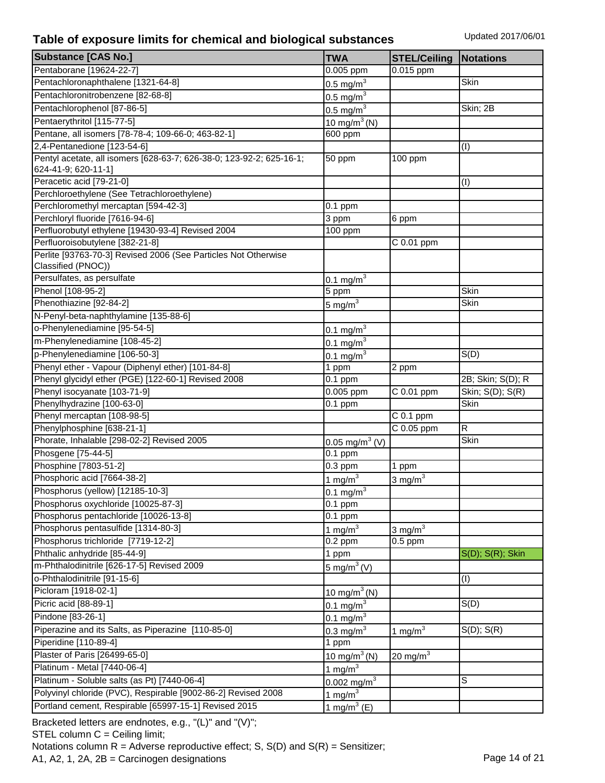| <b>Substance [CAS No.]</b>                                           | <b>TWA</b>                     | <b>STEL/Ceiling</b> | <b>Notations</b>       |
|----------------------------------------------------------------------|--------------------------------|---------------------|------------------------|
| Pentaborane [19624-22-7]                                             | 0.005 ppm                      | 0.015 ppm           |                        |
| Pentachloronaphthalene [1321-64-8]                                   | $0.5 \text{ mg/m}^3$           |                     | Skin                   |
| Pentachloronitrobenzene [82-68-8]                                    | 0.5 mg/m <sup>3</sup>          |                     |                        |
| Pentachlorophenol [87-86-5]                                          | $0.5 \text{ mg/m}^3$           |                     | Skin; 2B               |
| Pentaerythritol [115-77-5]                                           | 10 mg/m <sup>3</sup> (N)       |                     |                        |
| Pentane, all isomers [78-78-4; 109-66-0; 463-82-1]                   | 600 ppm                        |                     |                        |
| 2,4-Pentanedione [123-54-6]                                          |                                |                     | (I)                    |
| Pentyl acetate, all isomers [628-63-7; 626-38-0; 123-92-2; 625-16-1; | 50 ppm                         | 100 ppm             |                        |
| 624-41-9; 620-11-1]                                                  |                                |                     |                        |
| Peracetic acid [79-21-0]                                             |                                |                     | (I)                    |
| Perchloroethylene (See Tetrachloroethylene)                          |                                |                     |                        |
| Perchloromethyl mercaptan [594-42-3]                                 | $0.1$ ppm                      |                     |                        |
| Perchloryl fluoride [7616-94-6]                                      | 3 ppm                          | 6 ppm               |                        |
| Perfluorobutyl ethylene [19430-93-4] Revised 2004                    | 100 ppm                        |                     |                        |
| Perfluoroisobutylene [382-21-8]                                      |                                | C 0.01 ppm          |                        |
| Perlite [93763-70-3] Revised 2006 (See Particles Not Otherwise       |                                |                     |                        |
| Classified (PNOC))                                                   |                                |                     |                        |
| Persulfates, as persulfate                                           | $0.1 \,\mathrm{mg/m}^3$        |                     |                        |
| Phenol [108-95-2]                                                    | 5 ppm                          |                     | Skin                   |
| Phenothiazine [92-84-2]                                              | 5 mg/m $^3$                    |                     | Skin                   |
| N-Penyl-beta-naphthylamine [135-88-6]                                |                                |                     |                        |
| o-Phenylenediamine [95-54-5]                                         | 0.1 mg/m <sup>3</sup>          |                     |                        |
| m-Phenylenediamine [108-45-2]                                        | $0.1 \text{ mg/m}^3$           |                     |                        |
| p-Phenylenediamine [106-50-3]                                        | $0.1 \text{ mg/m}^3$           |                     | S(D)                   |
| Phenyl ether - Vapour (Diphenyl ether) [101-84-8]                    | 1 ppm                          | 2 ppm               |                        |
| Phenyl glycidyl ether (PGE) [122-60-1] Revised 2008                  | $0.1$ ppm                      |                     | 2B; Skin; S(D); R      |
| Phenyl isocyanate [103-71-9]                                         | 0.005 ppm                      | C 0.01 ppm          | Skin; S(D); S(R)       |
| Phenylhydrazine [100-63-0]                                           | $0.1$ ppm                      |                     | Skin                   |
| Phenyl mercaptan [108-98-5]                                          |                                | $C$ 0.1 ppm         |                        |
| Phenylphosphine [638-21-1]                                           |                                | C 0.05 ppm          | R                      |
| Phorate, Inhalable [298-02-2] Revised 2005                           | 0.05 mg/m <sup>3</sup> (V)     |                     | Skin                   |
| Phosgene [75-44-5]                                                   | $0.1$ ppm                      |                     |                        |
| Phosphine [7803-51-2]                                                | $0.3$ ppm                      | 1 ppm               |                        |
| Phosphoric acid [7664-38-2]                                          |                                |                     |                        |
| Phosphorus (yellow) [12185-10-3]                                     | $1 \text{ mg/m}^3$             | $3 \text{ mg/m}^3$  |                        |
| Phosphorus oxychloride [10025-87-3]                                  | $0.1 \overline{\text{mg/m}^3}$ |                     |                        |
| Phosphorus pentachloride [10026-13-8]                                | $0.1$ ppm<br>$0.1$ ppm         |                     |                        |
| Phosphorus pentasulfide [1314-80-3]                                  |                                |                     |                        |
| Phosphorus trichloride [7719-12-2]                                   | 1 mg/ $m3$                     | $3 \text{ mg/m}^3$  |                        |
|                                                                      | $0.2$ ppm                      | $0.5$ ppm           | $S(D)$ ; $S(R)$ ; Skin |
| Phthalic anhydride [85-44-9]                                         | 1 ppm                          |                     |                        |
| m-Phthalodinitrile [626-17-5] Revised 2009                           | 5 mg/m <sup>3</sup> (V)        |                     |                        |
| o-Phthalodinitrile [91-15-6]                                         |                                |                     | (I)                    |
| Picloram [1918-02-1]                                                 | 10 mg/m <sup>3</sup> (N)       |                     |                        |
| Picric acid [88-89-1]                                                | 0.1 mg/m $^{3}$                |                     | S(D)                   |
| Pindone [83-26-1]                                                    | 0.1 mg/m $^{3}$                |                     |                        |
| Piperazine and its Salts, as Piperazine [110-85-0]                   | 0.3 mg/ $m3$                   | $1 \text{ mg/m}^3$  | $S(D)$ ; $S(R)$        |
| Piperidine [110-89-4]                                                | 1 ppm                          |                     |                        |
| Plaster of Paris [26499-65-0]                                        | 10 mg/m $3$ (N)                | 20 mg/m $3$         |                        |
| Platinum - Metal [7440-06-4]                                         | 1 mg/m $3$                     |                     |                        |
| Platinum - Soluble salts (as Pt) [7440-06-4]                         | $0.002 \,\mathrm{mg/m}^3$      |                     | S                      |
| Polyvinyl chloride (PVC), Respirable [9002-86-2] Revised 2008        | 1 mg/m $3$                     |                     |                        |
| Portland cement, Respirable [65997-15-1] Revised 2015                | 1 mg/m <sup>3</sup> (E)        |                     |                        |

Bracketed letters are endnotes, e.g., "(L)" and "(V)"; STEL column C = Ceiling limit; Notations column  $R =$  Adverse reproductive effect; S,  $S(D)$  and  $S(R) =$  Sensitizer; A1, A2, 1, 2A, 2B = Carcinogen designations Page 14 of 21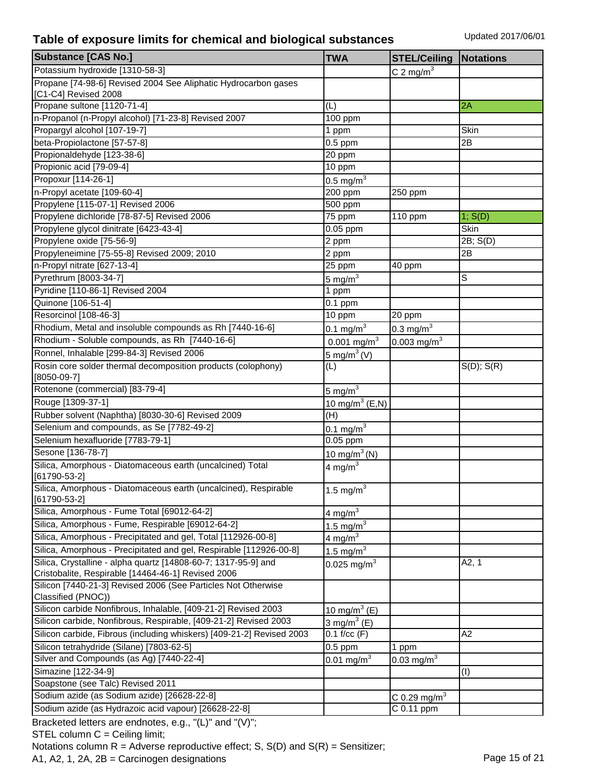| Potassium hydroxide [1310-58-3]<br>$C$ 2 mg/m <sup>3</sup><br>Propane [74-98-6] Revised 2004 See Aliphatic Hydrocarbon gases<br>[C1-C4] Revised 2008<br>Propane sultone [1120-71-4]<br>2A<br>(L)<br>n-Propanol (n-Propyl alcohol) [71-23-8] Revised 2007<br>100 ppm<br>Propargyl alcohol [107-19-7]<br>Skin<br>1 ppm<br>beta-Propiolactone [57-57-8]<br>2B<br>$0.5$ ppm<br>Propionaldehyde [123-38-6]<br>20 ppm<br>Propionic acid [79-09-4]<br>10 ppm<br>Propoxur [114-26-1]<br>$0.5 \text{ mg/m}^3$<br>n-Propyl acetate [109-60-4]<br>200 ppm<br>250 ppm<br>Propylene [115-07-1] Revised 2006<br>500 ppm<br>Propylene dichloride [78-87-5] Revised 2006<br>75 ppm<br>110 ppm<br>1; S(D)<br>Propylene glycol dinitrate [6423-43-4]<br>$0.05$ ppm<br>Skin<br>Propylene oxide [75-56-9]<br>2B; S(D)<br>2 ppm<br>Propyleneimine [75-55-8] Revised 2009; 2010<br>2B<br>2 ppm<br>n-Propyl nitrate [627-13-4]<br>25 ppm<br>40 ppm<br>S<br>Pyrethrum [8003-34-7]<br>$5 \text{ mg/m}^3$<br>Pyridine [110-86-1] Revised 2004<br>1 ppm<br>Quinone [106-51-4]<br>$0.1$ ppm<br>Resorcinol [108-46-3]<br>10 ppm<br>20 ppm<br>Rhodium, Metal and insoluble compounds as Rh [7440-16-6]<br>$0.3 \text{ mg/m}^3$<br>0.1 mg/m $3$<br>Rhodium - Soluble compounds, as Rh [7440-16-6]<br>$0.001$ mg/m <sup>3</sup><br>0.003 mg/m <sup>3</sup><br>Ronnel, Inhalable [299-84-3] Revised 2006<br>$5 \text{ mg/m}^3$ (V)<br>Rosin core solder thermal decomposition products (colophony)<br>(L)<br>$S(D)$ ; $S(R)$<br>$[8050-09-7]$<br>Rotenone (commercial) [83-79-4]<br>5 mg/m $3$<br>Rouge [1309-37-1]<br>10 mg/m <sup>3</sup> (E,N)<br>Rubber solvent (Naphtha) [8030-30-6] Revised 2009<br>(H)<br>Selenium and compounds, as Se [7782-49-2]<br>$0.1 \text{ mg/m}^3$<br>Selenium hexafluoride [7783-79-1]<br>$0.05$ ppm | <b>Substance [CAS No.]</b> | <b>TWA</b> | <b>STEL/Ceiling</b> | <b>Notations</b> |
|------------------------------------------------------------------------------------------------------------------------------------------------------------------------------------------------------------------------------------------------------------------------------------------------------------------------------------------------------------------------------------------------------------------------------------------------------------------------------------------------------------------------------------------------------------------------------------------------------------------------------------------------------------------------------------------------------------------------------------------------------------------------------------------------------------------------------------------------------------------------------------------------------------------------------------------------------------------------------------------------------------------------------------------------------------------------------------------------------------------------------------------------------------------------------------------------------------------------------------------------------------------------------------------------------------------------------------------------------------------------------------------------------------------------------------------------------------------------------------------------------------------------------------------------------------------------------------------------------------------------------------------------------------------------------------------------------------------------------------------------------------------------------------------------------|----------------------------|------------|---------------------|------------------|
|                                                                                                                                                                                                                                                                                                                                                                                                                                                                                                                                                                                                                                                                                                                                                                                                                                                                                                                                                                                                                                                                                                                                                                                                                                                                                                                                                                                                                                                                                                                                                                                                                                                                                                                                                                                                      |                            |            |                     |                  |
|                                                                                                                                                                                                                                                                                                                                                                                                                                                                                                                                                                                                                                                                                                                                                                                                                                                                                                                                                                                                                                                                                                                                                                                                                                                                                                                                                                                                                                                                                                                                                                                                                                                                                                                                                                                                      |                            |            |                     |                  |
|                                                                                                                                                                                                                                                                                                                                                                                                                                                                                                                                                                                                                                                                                                                                                                                                                                                                                                                                                                                                                                                                                                                                                                                                                                                                                                                                                                                                                                                                                                                                                                                                                                                                                                                                                                                                      |                            |            |                     |                  |
|                                                                                                                                                                                                                                                                                                                                                                                                                                                                                                                                                                                                                                                                                                                                                                                                                                                                                                                                                                                                                                                                                                                                                                                                                                                                                                                                                                                                                                                                                                                                                                                                                                                                                                                                                                                                      |                            |            |                     |                  |
|                                                                                                                                                                                                                                                                                                                                                                                                                                                                                                                                                                                                                                                                                                                                                                                                                                                                                                                                                                                                                                                                                                                                                                                                                                                                                                                                                                                                                                                                                                                                                                                                                                                                                                                                                                                                      |                            |            |                     |                  |
|                                                                                                                                                                                                                                                                                                                                                                                                                                                                                                                                                                                                                                                                                                                                                                                                                                                                                                                                                                                                                                                                                                                                                                                                                                                                                                                                                                                                                                                                                                                                                                                                                                                                                                                                                                                                      |                            |            |                     |                  |
|                                                                                                                                                                                                                                                                                                                                                                                                                                                                                                                                                                                                                                                                                                                                                                                                                                                                                                                                                                                                                                                                                                                                                                                                                                                                                                                                                                                                                                                                                                                                                                                                                                                                                                                                                                                                      |                            |            |                     |                  |
|                                                                                                                                                                                                                                                                                                                                                                                                                                                                                                                                                                                                                                                                                                                                                                                                                                                                                                                                                                                                                                                                                                                                                                                                                                                                                                                                                                                                                                                                                                                                                                                                                                                                                                                                                                                                      |                            |            |                     |                  |
|                                                                                                                                                                                                                                                                                                                                                                                                                                                                                                                                                                                                                                                                                                                                                                                                                                                                                                                                                                                                                                                                                                                                                                                                                                                                                                                                                                                                                                                                                                                                                                                                                                                                                                                                                                                                      |                            |            |                     |                  |
|                                                                                                                                                                                                                                                                                                                                                                                                                                                                                                                                                                                                                                                                                                                                                                                                                                                                                                                                                                                                                                                                                                                                                                                                                                                                                                                                                                                                                                                                                                                                                                                                                                                                                                                                                                                                      |                            |            |                     |                  |
|                                                                                                                                                                                                                                                                                                                                                                                                                                                                                                                                                                                                                                                                                                                                                                                                                                                                                                                                                                                                                                                                                                                                                                                                                                                                                                                                                                                                                                                                                                                                                                                                                                                                                                                                                                                                      |                            |            |                     |                  |
|                                                                                                                                                                                                                                                                                                                                                                                                                                                                                                                                                                                                                                                                                                                                                                                                                                                                                                                                                                                                                                                                                                                                                                                                                                                                                                                                                                                                                                                                                                                                                                                                                                                                                                                                                                                                      |                            |            |                     |                  |
|                                                                                                                                                                                                                                                                                                                                                                                                                                                                                                                                                                                                                                                                                                                                                                                                                                                                                                                                                                                                                                                                                                                                                                                                                                                                                                                                                                                                                                                                                                                                                                                                                                                                                                                                                                                                      |                            |            |                     |                  |
|                                                                                                                                                                                                                                                                                                                                                                                                                                                                                                                                                                                                                                                                                                                                                                                                                                                                                                                                                                                                                                                                                                                                                                                                                                                                                                                                                                                                                                                                                                                                                                                                                                                                                                                                                                                                      |                            |            |                     |                  |
|                                                                                                                                                                                                                                                                                                                                                                                                                                                                                                                                                                                                                                                                                                                                                                                                                                                                                                                                                                                                                                                                                                                                                                                                                                                                                                                                                                                                                                                                                                                                                                                                                                                                                                                                                                                                      |                            |            |                     |                  |
|                                                                                                                                                                                                                                                                                                                                                                                                                                                                                                                                                                                                                                                                                                                                                                                                                                                                                                                                                                                                                                                                                                                                                                                                                                                                                                                                                                                                                                                                                                                                                                                                                                                                                                                                                                                                      |                            |            |                     |                  |
|                                                                                                                                                                                                                                                                                                                                                                                                                                                                                                                                                                                                                                                                                                                                                                                                                                                                                                                                                                                                                                                                                                                                                                                                                                                                                                                                                                                                                                                                                                                                                                                                                                                                                                                                                                                                      |                            |            |                     |                  |
|                                                                                                                                                                                                                                                                                                                                                                                                                                                                                                                                                                                                                                                                                                                                                                                                                                                                                                                                                                                                                                                                                                                                                                                                                                                                                                                                                                                                                                                                                                                                                                                                                                                                                                                                                                                                      |                            |            |                     |                  |
|                                                                                                                                                                                                                                                                                                                                                                                                                                                                                                                                                                                                                                                                                                                                                                                                                                                                                                                                                                                                                                                                                                                                                                                                                                                                                                                                                                                                                                                                                                                                                                                                                                                                                                                                                                                                      |                            |            |                     |                  |
|                                                                                                                                                                                                                                                                                                                                                                                                                                                                                                                                                                                                                                                                                                                                                                                                                                                                                                                                                                                                                                                                                                                                                                                                                                                                                                                                                                                                                                                                                                                                                                                                                                                                                                                                                                                                      |                            |            |                     |                  |
|                                                                                                                                                                                                                                                                                                                                                                                                                                                                                                                                                                                                                                                                                                                                                                                                                                                                                                                                                                                                                                                                                                                                                                                                                                                                                                                                                                                                                                                                                                                                                                                                                                                                                                                                                                                                      |                            |            |                     |                  |
|                                                                                                                                                                                                                                                                                                                                                                                                                                                                                                                                                                                                                                                                                                                                                                                                                                                                                                                                                                                                                                                                                                                                                                                                                                                                                                                                                                                                                                                                                                                                                                                                                                                                                                                                                                                                      |                            |            |                     |                  |
|                                                                                                                                                                                                                                                                                                                                                                                                                                                                                                                                                                                                                                                                                                                                                                                                                                                                                                                                                                                                                                                                                                                                                                                                                                                                                                                                                                                                                                                                                                                                                                                                                                                                                                                                                                                                      |                            |            |                     |                  |
|                                                                                                                                                                                                                                                                                                                                                                                                                                                                                                                                                                                                                                                                                                                                                                                                                                                                                                                                                                                                                                                                                                                                                                                                                                                                                                                                                                                                                                                                                                                                                                                                                                                                                                                                                                                                      |                            |            |                     |                  |
|                                                                                                                                                                                                                                                                                                                                                                                                                                                                                                                                                                                                                                                                                                                                                                                                                                                                                                                                                                                                                                                                                                                                                                                                                                                                                                                                                                                                                                                                                                                                                                                                                                                                                                                                                                                                      |                            |            |                     |                  |
|                                                                                                                                                                                                                                                                                                                                                                                                                                                                                                                                                                                                                                                                                                                                                                                                                                                                                                                                                                                                                                                                                                                                                                                                                                                                                                                                                                                                                                                                                                                                                                                                                                                                                                                                                                                                      |                            |            |                     |                  |
|                                                                                                                                                                                                                                                                                                                                                                                                                                                                                                                                                                                                                                                                                                                                                                                                                                                                                                                                                                                                                                                                                                                                                                                                                                                                                                                                                                                                                                                                                                                                                                                                                                                                                                                                                                                                      |                            |            |                     |                  |
|                                                                                                                                                                                                                                                                                                                                                                                                                                                                                                                                                                                                                                                                                                                                                                                                                                                                                                                                                                                                                                                                                                                                                                                                                                                                                                                                                                                                                                                                                                                                                                                                                                                                                                                                                                                                      |                            |            |                     |                  |
|                                                                                                                                                                                                                                                                                                                                                                                                                                                                                                                                                                                                                                                                                                                                                                                                                                                                                                                                                                                                                                                                                                                                                                                                                                                                                                                                                                                                                                                                                                                                                                                                                                                                                                                                                                                                      |                            |            |                     |                  |
|                                                                                                                                                                                                                                                                                                                                                                                                                                                                                                                                                                                                                                                                                                                                                                                                                                                                                                                                                                                                                                                                                                                                                                                                                                                                                                                                                                                                                                                                                                                                                                                                                                                                                                                                                                                                      |                            |            |                     |                  |
| Sesone [136-78-7]                                                                                                                                                                                                                                                                                                                                                                                                                                                                                                                                                                                                                                                                                                                                                                                                                                                                                                                                                                                                                                                                                                                                                                                                                                                                                                                                                                                                                                                                                                                                                                                                                                                                                                                                                                                    |                            |            |                     |                  |
| 10 mg/m <sup>3</sup> (N)<br>Silica, Amorphous - Diatomaceous earth (uncalcined) Total                                                                                                                                                                                                                                                                                                                                                                                                                                                                                                                                                                                                                                                                                                                                                                                                                                                                                                                                                                                                                                                                                                                                                                                                                                                                                                                                                                                                                                                                                                                                                                                                                                                                                                                |                            |            |                     |                  |
| 4 mg/m $3$<br>$[61790 - 53 - 2]$                                                                                                                                                                                                                                                                                                                                                                                                                                                                                                                                                                                                                                                                                                                                                                                                                                                                                                                                                                                                                                                                                                                                                                                                                                                                                                                                                                                                                                                                                                                                                                                                                                                                                                                                                                     |                            |            |                     |                  |
| Silica, Amorphous - Diatomaceous earth (uncalcined), Respirable<br>1.5 mg/ $m3$<br>[61790-53-2]                                                                                                                                                                                                                                                                                                                                                                                                                                                                                                                                                                                                                                                                                                                                                                                                                                                                                                                                                                                                                                                                                                                                                                                                                                                                                                                                                                                                                                                                                                                                                                                                                                                                                                      |                            |            |                     |                  |
| Silica, Amorphous - Fume Total [69012-64-2]<br>4 mg/m $3$                                                                                                                                                                                                                                                                                                                                                                                                                                                                                                                                                                                                                                                                                                                                                                                                                                                                                                                                                                                                                                                                                                                                                                                                                                                                                                                                                                                                                                                                                                                                                                                                                                                                                                                                            |                            |            |                     |                  |
| Silica, Amorphous - Fume, Respirable [69012-64-2]<br>1.5 mg/m <sup>3</sup>                                                                                                                                                                                                                                                                                                                                                                                                                                                                                                                                                                                                                                                                                                                                                                                                                                                                                                                                                                                                                                                                                                                                                                                                                                                                                                                                                                                                                                                                                                                                                                                                                                                                                                                           |                            |            |                     |                  |
| Silica, Amorphous - Precipitated and gel, Total [112926-00-8]<br>4 mg/m $3$                                                                                                                                                                                                                                                                                                                                                                                                                                                                                                                                                                                                                                                                                                                                                                                                                                                                                                                                                                                                                                                                                                                                                                                                                                                                                                                                                                                                                                                                                                                                                                                                                                                                                                                          |                            |            |                     |                  |
| Silica, Amorphous - Precipitated and gel, Respirable [112926-00-8]<br>$1.5 \text{ mg/m}^3$                                                                                                                                                                                                                                                                                                                                                                                                                                                                                                                                                                                                                                                                                                                                                                                                                                                                                                                                                                                                                                                                                                                                                                                                                                                                                                                                                                                                                                                                                                                                                                                                                                                                                                           |                            |            |                     |                  |
| Silica, Crystalline - alpha quartz [14808-60-7; 1317-95-9] and<br>A2, 1<br>0.025 mg/m $^{3}$                                                                                                                                                                                                                                                                                                                                                                                                                                                                                                                                                                                                                                                                                                                                                                                                                                                                                                                                                                                                                                                                                                                                                                                                                                                                                                                                                                                                                                                                                                                                                                                                                                                                                                         |                            |            |                     |                  |
| Cristobalite, Respirable [14464-46-1] Revised 2006                                                                                                                                                                                                                                                                                                                                                                                                                                                                                                                                                                                                                                                                                                                                                                                                                                                                                                                                                                                                                                                                                                                                                                                                                                                                                                                                                                                                                                                                                                                                                                                                                                                                                                                                                   |                            |            |                     |                  |
| Silicon [7440-21-3] Revised 2006 (See Particles Not Otherwise                                                                                                                                                                                                                                                                                                                                                                                                                                                                                                                                                                                                                                                                                                                                                                                                                                                                                                                                                                                                                                                                                                                                                                                                                                                                                                                                                                                                                                                                                                                                                                                                                                                                                                                                        |                            |            |                     |                  |
| Classified (PNOC))                                                                                                                                                                                                                                                                                                                                                                                                                                                                                                                                                                                                                                                                                                                                                                                                                                                                                                                                                                                                                                                                                                                                                                                                                                                                                                                                                                                                                                                                                                                                                                                                                                                                                                                                                                                   |                            |            |                     |                  |
| Silicon carbide Nonfibrous, Inhalable, [409-21-2] Revised 2003<br>10 mg/m <sup>3</sup> (E)                                                                                                                                                                                                                                                                                                                                                                                                                                                                                                                                                                                                                                                                                                                                                                                                                                                                                                                                                                                                                                                                                                                                                                                                                                                                                                                                                                                                                                                                                                                                                                                                                                                                                                           |                            |            |                     |                  |
| Silicon carbide, Nonfibrous, Respirable, [409-21-2] Revised 2003<br>3 mg/m $3$ (E)                                                                                                                                                                                                                                                                                                                                                                                                                                                                                                                                                                                                                                                                                                                                                                                                                                                                                                                                                                                                                                                                                                                                                                                                                                                                                                                                                                                                                                                                                                                                                                                                                                                                                                                   |                            |            |                     |                  |
| Silicon carbide, Fibrous (including whiskers) [409-21-2] Revised 2003<br>$0.1$ f/cc $(F)$<br>A2                                                                                                                                                                                                                                                                                                                                                                                                                                                                                                                                                                                                                                                                                                                                                                                                                                                                                                                                                                                                                                                                                                                                                                                                                                                                                                                                                                                                                                                                                                                                                                                                                                                                                                      |                            |            |                     |                  |
| Silicon tetrahydride (Silane) [7803-62-5]<br>$0.5$ ppm<br>1 ppm                                                                                                                                                                                                                                                                                                                                                                                                                                                                                                                                                                                                                                                                                                                                                                                                                                                                                                                                                                                                                                                                                                                                                                                                                                                                                                                                                                                                                                                                                                                                                                                                                                                                                                                                      |                            |            |                     |                  |
| Silver and Compounds (as Ag) [7440-22-4]<br>$0.01$ mg/m <sup>3</sup><br>$0.03$ mg/m <sup>3</sup>                                                                                                                                                                                                                                                                                                                                                                                                                                                                                                                                                                                                                                                                                                                                                                                                                                                                                                                                                                                                                                                                                                                                                                                                                                                                                                                                                                                                                                                                                                                                                                                                                                                                                                     |                            |            |                     |                  |
| Simazine [122-34-9]<br>(I)                                                                                                                                                                                                                                                                                                                                                                                                                                                                                                                                                                                                                                                                                                                                                                                                                                                                                                                                                                                                                                                                                                                                                                                                                                                                                                                                                                                                                                                                                                                                                                                                                                                                                                                                                                           |                            |            |                     |                  |
| Soapstone (see Talc) Revised 2011                                                                                                                                                                                                                                                                                                                                                                                                                                                                                                                                                                                                                                                                                                                                                                                                                                                                                                                                                                                                                                                                                                                                                                                                                                                                                                                                                                                                                                                                                                                                                                                                                                                                                                                                                                    |                            |            |                     |                  |
| Sodium azide (as Sodium azide) [26628-22-8]<br>C 0.29 mg/m <sup>3</sup>                                                                                                                                                                                                                                                                                                                                                                                                                                                                                                                                                                                                                                                                                                                                                                                                                                                                                                                                                                                                                                                                                                                                                                                                                                                                                                                                                                                                                                                                                                                                                                                                                                                                                                                              |                            |            |                     |                  |
| Sodium azide (as Hydrazoic acid vapour) [26628-22-8]<br>C 0.11 ppm                                                                                                                                                                                                                                                                                                                                                                                                                                                                                                                                                                                                                                                                                                                                                                                                                                                                                                                                                                                                                                                                                                                                                                                                                                                                                                                                                                                                                                                                                                                                                                                                                                                                                                                                   |                            |            |                     |                  |

Bracketed letters are endnotes, e.g., "(L)" and "(V)";

STEL column C = Ceiling limit;

Notations column  $R =$  Adverse reproductive effect; S,  $S(D)$  and  $S(R) =$  Sensitizer;

A1, A2, 1, 2A, 2B = Carcinogen designations Page 15 of 21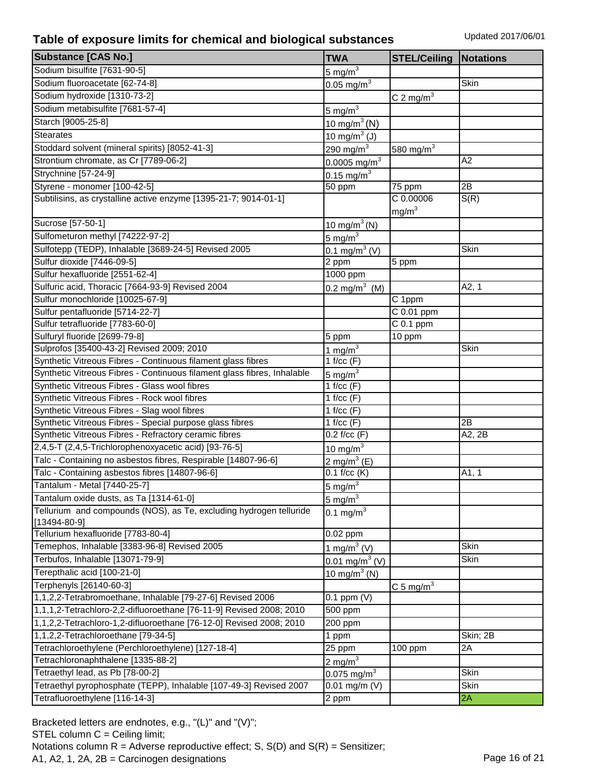| <b>Substance [CAS No.]</b>                                              | <b>TWA</b>                 | <b>STEL/Ceiling</b>     | <b>Notations</b> |
|-------------------------------------------------------------------------|----------------------------|-------------------------|------------------|
| Sodium bisulfite [7631-90-5]                                            | $5 \text{ mg/m}^3$         |                         |                  |
| Sodium fluoroacetate [62-74-8]                                          | $0.05 \text{ mg/m}^3$      |                         | Skin             |
| Sodium hydroxide [1310-73-2]                                            |                            | C 2 mg/m <sup>3</sup>   |                  |
| Sodium metabisulfite [7681-57-4]                                        | $5 \text{ mg/m}^3$         |                         |                  |
| Starch [9005-25-8]                                                      | $10 \text{ mg/m}^3$ (N)    |                         |                  |
| <b>Stearates</b>                                                        | 10 mg/m $3$ (J)            |                         |                  |
| Stoddard solvent (mineral spirits) [8052-41-3]                          | 290 mg/m $3$               | 580 mg/m <sup>3</sup>   |                  |
| Strontium chromate, as Cr [7789-06-2]                                   | $0.0005$ mg/m <sup>3</sup> |                         | A2               |
| Strychnine [57-24-9]                                                    | 0.15 mg/m $^{3}$           |                         |                  |
| Styrene - monomer [100-42-5]                                            | 50 ppm                     | 75 ppm                  | 2B               |
| Subtilisins, as crystalline active enzyme [1395-21-7; 9014-01-1]        |                            | C 0.00006               | S(R)             |
|                                                                         |                            | mg/m <sup>3</sup>       |                  |
| Sucrose [57-50-1]                                                       | 10 mg/m <sup>3</sup> (N)   |                         |                  |
| Sulfometuron methyl [74222-97-2]                                        | 5 mg/m $3$                 |                         |                  |
| Sulfotepp (TEDP), Inhalable [3689-24-5] Revised 2005                    | 0.1 mg/m <sup>3</sup> (V)  |                         | Skin             |
| Sulfur dioxide [7446-09-5]                                              | 2 ppm                      | 5 ppm                   |                  |
| Sulfur hexafluoride [2551-62-4]                                         | $1000$ ppm                 |                         |                  |
| Sulfuric acid, Thoracic [7664-93-9] Revised 2004                        | 0.2 mg/m <sup>3</sup> (M)  |                         | A2, 1            |
| Sulfur monochloride [10025-67-9]                                        |                            | C 1ppm                  |                  |
| Sulfur pentafluoride [5714-22-7]                                        |                            | C 0.01 ppm              |                  |
| Sulfur tetrafluoride [7783-60-0]                                        |                            | $C0.1$ ppm              |                  |
| Sulfuryl fluoride [2699-79-8]                                           | 5 ppm                      | 10 ppm                  |                  |
| Sulprofos [35400-43-2] Revised 2009; 2010                               | 1 mg/m $3$                 |                         | Skin             |
| Synthetic Vitreous Fibres - Continuous filament glass fibres            | 1 f/cc $(F)$               |                         |                  |
| Synthetic Vitreous Fibres - Continuous filament glass fibres, Inhalable | $5 \text{ mg/m}^3$         |                         |                  |
| Synthetic Vitreous Fibres - Glass wool fibres                           | 1 f/cc $(F)$               |                         |                  |
| Synthetic Vitreous Fibres - Rock wool fibres                            | 1 f/cc $(F)$               |                         |                  |
| Synthetic Vitreous Fibres - Slag wool fibres                            | 1 f/cc $(F)$               |                         |                  |
| Synthetic Vitreous Fibres - Special purpose glass fibres                | 1 f/cc $(F)$               |                         | 2B               |
| Synthetic Vitreous Fibres - Refractory ceramic fibres                   | $0.2$ f/cc $(F)$           |                         | A2, 2B           |
| 2,4,5-T (2,4,5-Trichlorophenoxyacetic acid) [93-76-5]                   | 10 mg/ $m3$                |                         |                  |
| Talc - Containing no asbestos fibres, Respirable [14807-96-6]           | $2 \text{ mg/m}^3$ (E)     |                         |                  |
| Talc - Containing asbestos fibres [14807-96-6]                          | $0.1$ f/cc (K)             |                         | A1, 1            |
| Tantalum - Metal [7440-25-7]                                            | 5 mg/ $m3$                 |                         |                  |
| Tantalum oxide dusts, as Ta [1314-61-0]                                 | 5 mg/ $m3$                 |                         |                  |
| Tellurium and compounds (NOS), as Te, excluding hydrogen telluride      | 0.1 mg/m $^{3}$            |                         |                  |
| $[13494 - 80 - 9]$                                                      |                            |                         |                  |
| Tellurium hexafluoride [7783-80-4]                                      | $0.02$ ppm                 |                         |                  |
| Temephos, Inhalable [3383-96-8] Revised 2005                            | 1 mg/m <sup>3</sup> (V)    |                         | Skin             |
| Terbufos, Inhalable [13071-79-9]                                        | $0.01 \text{ mg/m}^3$ (V)  |                         | Skin             |
| Terepthalic acid [100-21-0]                                             | 10 mg/m $3$ (N)            |                         |                  |
| Terphenyls [26140-60-3]                                                 |                            | $C_5$ mg/m <sup>3</sup> |                  |
| 1,1,2,2-Tetrabromoethane, Inhalable [79-27-6] Revised 2006              | $0.1$ ppm $(V)$            |                         |                  |
| 1,1,1,2-Tetrachloro-2,2-difluoroethane [76-11-9] Revised 2008; 2010     | 500 ppm                    |                         |                  |
| 1,1,2,2-Tetrachloro-1,2-difluoroethane [76-12-0] Revised 2008; 2010     | 200 ppm                    |                         |                  |
| 1,1,2,2-Tetrachloroethane [79-34-5]                                     | 1 ppm                      |                         | Skin; 2B         |
| Tetrachloroethylene (Perchloroethylene) [127-18-4]                      | 25 ppm                     | 100 ppm                 | 2Α               |
| Tetrachloronaphthalene [1335-88-2]                                      | 2 mg/m $3$                 |                         |                  |
| Tetraethyl lead, as Pb [78-00-2]                                        | $0.075$ mg/m <sup>3</sup>  |                         | Skin             |
| Tetraethyl pyrophosphate (TEPP), Inhalable [107-49-3] Revised 2007      | $\overline{0.01}$ mg/m (V) |                         | Skin             |
| Tetrafluoroethylene [116-14-3]                                          | 2 ppm                      |                         | 2A               |

Bracketed letters are endnotes, e.g., "(L)" and "(V)"; STEL column C = Ceiling limit; Notations column  $R =$  Adverse reproductive effect; S,  $S(D)$  and  $S(R) =$  Sensitizer; A1, A2, 1, 2A, 2B = Carcinogen designations Page 16 of 21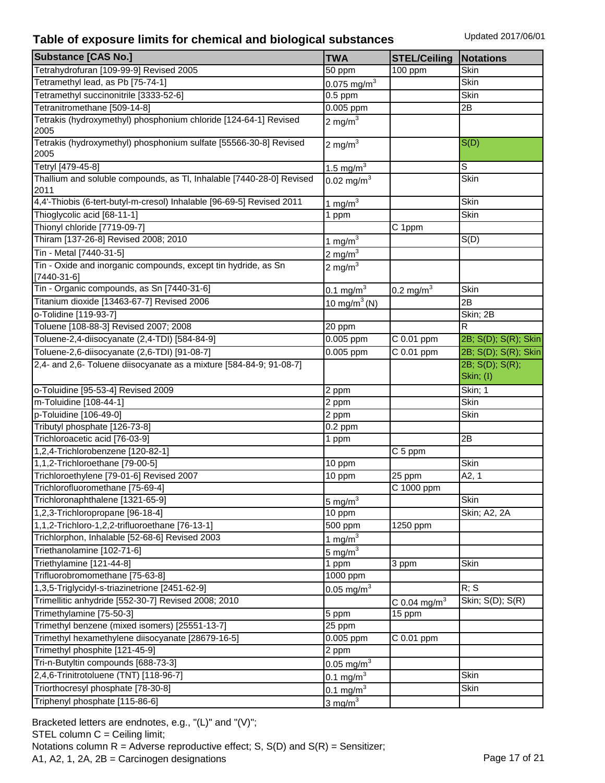| <b>Substance [CAS No.]</b>                                                   | <b>TWA</b>                | <b>STEL/Ceiling</b>        | <b>Notations</b>             |
|------------------------------------------------------------------------------|---------------------------|----------------------------|------------------------------|
| Tetrahydrofuran [109-99-9] Revised 2005                                      | 50 ppm                    | 100 ppm                    | Skin                         |
| Tetramethyl lead, as Pb [75-74-1]                                            | $0.075$ mg/m <sup>3</sup> |                            | Skin                         |
| Tetramethyl succinonitrile [3333-52-6]                                       | $0.5$ ppm                 |                            | Skin                         |
| Tetranitromethane [509-14-8]                                                 | 0.005 ppm                 |                            | 2B                           |
| Tetrakis (hydroxymethyl) phosphonium chloride [124-64-1] Revised             | 2 mg/m $3$                |                            |                              |
| 2005                                                                         |                           |                            |                              |
| Tetrakis (hydroxymethyl) phosphonium sulfate [55566-30-8] Revised            | 2 mg/m $3$                |                            | S(D)                         |
| 2005                                                                         |                           |                            |                              |
| Tetryl [479-45-8]                                                            | $1.5 \text{ mg/m}^3$      |                            | S                            |
| Thallium and soluble compounds, as TI, Inhalable [7440-28-0] Revised<br>2011 | $0.02 \text{ mg/m}^3$     |                            | Skin                         |
| 4,4'-Thiobis (6-tert-butyl-m-cresol) Inhalable [96-69-5] Revised 2011        | 1 mg/ $m3$                |                            | <b>Skin</b>                  |
| Thioglycolic acid [68-11-1]                                                  | 1 ppm                     |                            | Skin                         |
| Thionyl chloride [7719-09-7]                                                 |                           | C 1ppm                     |                              |
| Thiram [137-26-8] Revised 2008; 2010                                         | $1 \text{ mg/m}^3$        |                            | S(D)                         |
| Tin - Metal [7440-31-5]                                                      | 2 mg/ $m3$                |                            |                              |
| Tin - Oxide and inorganic compounds, except tin hydride, as Sn               | 2 mg/m $^3$               |                            |                              |
| $[7440-31-6]$                                                                |                           |                            |                              |
| Tin - Organic compounds, as Sn [7440-31-6]                                   | $0.1 \text{ mg/m}^3$      | $0.2$ mg/m <sup>3</sup>    | Skin                         |
| Titanium dioxide [13463-67-7] Revised 2006                                   | 10 mg/m <sup>3</sup> (N)  |                            | 2B                           |
| o-Tolidine [119-93-7]                                                        |                           |                            | Skin; 2B                     |
| Toluene [108-88-3] Revised 2007; 2008                                        | 20 ppm                    |                            | R                            |
| Toluene-2,4-diisocyanate (2,4-TDI) [584-84-9]                                | 0.005 ppm                 | C 0.01 ppm                 | 2B; S(D); S(R); Skin         |
| Toluene-2,6-diisocyanate (2,6-TDI) [91-08-7]                                 | 0.005 ppm                 | $\overline{C}$ 0.01 ppm    | 2B; S(D); S(R); Skin         |
| 2,4- and 2,6- Toluene diisocyanate as a mixture [584-84-9; 91-08-7]          |                           |                            | 2B; S(D); S(R);<br>Skin; (I) |
| o-Toluidine [95-53-4] Revised 2009                                           | 2 ppm                     |                            | Skin; 1                      |
| m-Toluidine [108-44-1]                                                       | 2 ppm                     |                            | Skin                         |
| p-Toluidine [106-49-0]                                                       | 2 ppm                     |                            | Skin                         |
| Tributyl phosphate [126-73-8]                                                | $0.2$ ppm                 |                            |                              |
| Trichloroacetic acid [76-03-9]                                               | 1 ppm                     |                            | 2B                           |
| 1,2,4-Trichlorobenzene [120-82-1]                                            |                           | C 5 ppm                    |                              |
| 1,1,2-Trichloroethane [79-00-5]                                              | 10 ppm                    |                            | <b>Skin</b>                  |
| Trichloroethylene [79-01-6] Revised 2007                                     | $\overline{10}$ ppm       | 25 ppm                     | A2, 1                        |
| Trichlorofluoromethane [75-69-4]                                             |                           | C 1000 ppm                 |                              |
| Trichloronaphthalene [1321-65-9]                                             | 5 mg/ $m3$                |                            | Skin                         |
| 1,2,3-Trichloropropane [96-18-4]                                             | 10 ppm                    |                            | Skin; A2, 2A                 |
| 1,1,2-Trichloro-1,2,2-trifluoroethane [76-13-1]                              | 500 ppm                   | 1250 ppm                   |                              |
| Trichlorphon, Inhalable [52-68-6] Revised 2003                               | 1 mg/ $m3$                |                            |                              |
| Triethanolamine [102-71-6]                                                   | 5 mg/ $m3$                |                            |                              |
| Triethylamine [121-44-8]                                                     | 1 ppm                     | 3 ppm                      | Skin                         |
| Trifluorobromomethane [75-63-8]                                              | 1000 ppm                  |                            |                              |
| 1,3,5-Triglycidyl-s-triazinetrione [2451-62-9]                               | $0.05$ mg/m <sup>3</sup>  |                            | R; S                         |
| Trimellitic anhydride [552-30-7] Revised 2008; 2010                          |                           | $C$ 0.04 mg/m <sup>3</sup> | Skin; S(D); S(R)             |
| Trimethylamine [75-50-3]                                                     | 5 ppm                     | 15 ppm                     |                              |
| Trimethyl benzene (mixed isomers) [25551-13-7]                               | 25 ppm                    |                            |                              |
| Trimethyl hexamethylene diisocyanate [28679-16-5]                            | $0.005$ ppm               | C 0.01 ppm                 |                              |
| Trimethyl phosphite [121-45-9]                                               | 2 ppm                     |                            |                              |
| Tri-n-Butyltin compounds [688-73-3]                                          | $0.05 \,\mathrm{mg/m}^3$  |                            |                              |
| 2,4,6-Trinitrotoluene (TNT) [118-96-7]                                       | $0.1 \,\mathrm{mg/m^3}$   |                            | Skin                         |
| Triorthocresyl phosphate [78-30-8]                                           | 0.1 mg/m $^{3}$           |                            | Skin                         |
| Triphenyl phosphate [115-86-6]                                               | $3 \text{ mg/m}^3$        |                            |                              |
|                                                                              |                           |                            |                              |

Bracketed letters are endnotes, e.g., "(L)" and "(V)"; STEL column C = Ceiling limit; Notations column  $R =$  Adverse reproductive effect; S,  $S(D)$  and  $S(R) =$  Sensitizer; A1, A2, 1, 2A, 2B = Carcinogen designations Page 17 of 21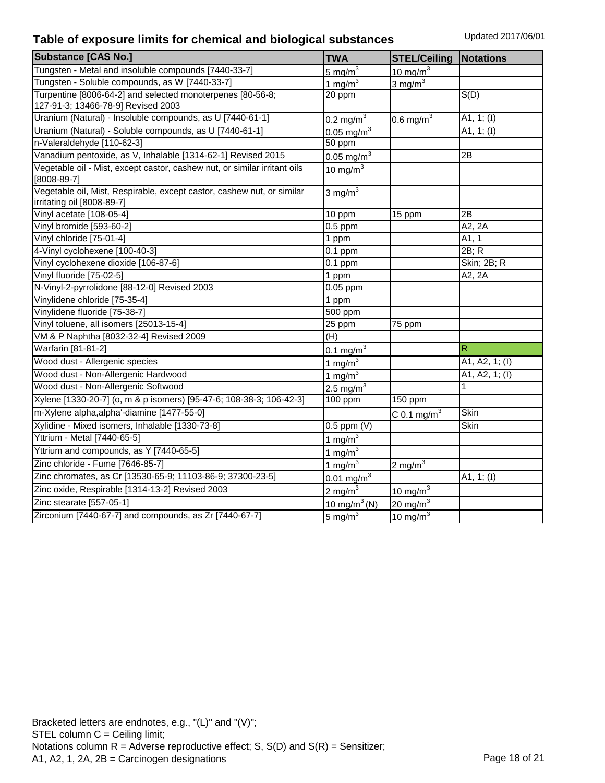| <b>Substance [CAS No.]</b>                                                                           | <b>TWA</b>               | <b>STEL/Ceiling</b>     | <b>Notations</b>  |
|------------------------------------------------------------------------------------------------------|--------------------------|-------------------------|-------------------|
| Tungsten - Metal and insoluble compounds [7440-33-7]                                                 | $5 \text{ mg/m}^3$       | $10 \text{ mg/m}^3$     |                   |
| Tungsten - Soluble compounds, as W [7440-33-7]                                                       | 1 mg/m $3$               | $3 \text{ mg/m}^3$      |                   |
| Turpentine [8006-64-2] and selected monoterpenes [80-56-8;                                           | 20 ppm                   |                         | $\overline{S(D)}$ |
| 127-91-3; 13466-78-9] Revised 2003                                                                   |                          |                         |                   |
| Uranium (Natural) - Insoluble compounds, as U [7440-61-1]                                            | $0.2 \text{ mg/m}^3$     | $0.6$ mg/m <sup>3</sup> | A1, $1; (I)$      |
| Uranium (Natural) - Soluble compounds, as U [7440-61-1]                                              | $0.05$ mg/m <sup>3</sup> |                         | A1, 1; $(I)$      |
| n-Valeraldehyde [110-62-3]                                                                           | 50 ppm                   |                         |                   |
| Vanadium pentoxide, as V, Inhalable [1314-62-1] Revised 2015                                         | 0.05 mg/m <sup>3</sup>   |                         | 2B                |
| Vegetable oil - Mist, except castor, cashew nut, or similar irritant oils<br>$[8008-89-7]$           | 10 mg/m $3$              |                         |                   |
| Vegetable oil, Mist, Respirable, except castor, cashew nut, or similar<br>irritating oil [8008-89-7] | 3 mg/ $m3$               |                         |                   |
| Vinyl acetate [108-05-4]                                                                             | 10 ppm                   | 15 ppm                  | 2B                |
| Vinyl bromide [593-60-2]                                                                             | $0.5$ ppm                |                         | A2, 2A            |
| Vinyl chloride [75-01-4]                                                                             | 1 ppm                    |                         | A1, 1             |
| 4-Vinyl cyclohexene [100-40-3]                                                                       | $0.1$ ppm                |                         | 2B; R             |
| Vinyl cyclohexene dioxide [106-87-6]                                                                 | $0.1$ ppm                |                         | Skin; 2B; R       |
| Vinyl fluoride [75-02-5]                                                                             | 1 ppm                    |                         | A2, 2A            |
| N-Vinyl-2-pyrrolidone [88-12-0] Revised 2003                                                         | 0.05 ppm                 |                         |                   |
| Vinylidene chloride [75-35-4]                                                                        | 1 ppm                    |                         |                   |
| Vinylidene fluoride [75-38-7]                                                                        | 500 ppm                  |                         |                   |
| Vinyl toluene, all isomers [25013-15-4]                                                              | 25 ppm                   | 75 ppm                  |                   |
| VM & P Naphtha [8032-32-4] Revised 2009                                                              | (H)                      |                         |                   |
| Warfarin [81-81-2]                                                                                   | $0.1 \text{ mg/m}^3$     |                         | R                 |
| Wood dust - Allergenic species                                                                       | $1 \text{ mg/m}^3$       |                         | A1, A2, 1; (I)    |
| Wood dust - Non-Allergenic Hardwood                                                                  | 1 mg/m $3$               |                         | A1, A2, 1; (I)    |
| Wood dust - Non-Allergenic Softwood                                                                  | $2.5 \text{ mg/m}^3$     |                         | 1                 |
| Xylene [1330-20-7] (o, m & p isomers) [95-47-6; 108-38-3; 106-42-3]                                  | 100 ppm                  | 150 ppm                 |                   |
| m-Xylene alpha, alpha'-diamine [1477-55-0]                                                           |                          | C 0.1 mg/ $m3$          | <b>Skin</b>       |
| Xylidine - Mixed isomers, Inhalable [1330-73-8]                                                      | $0.5$ ppm $(V)$          |                         | Skin              |
| Yttrium - Metal [7440-65-5]                                                                          | 1 mg/m $3$               |                         |                   |
| Yttrium and compounds, as Y [7440-65-5]                                                              | 1 mg/ $m3$               |                         |                   |
| Zinc chloride - Fume [7646-85-7]                                                                     | 1 mg/m $3$               | $2 \text{ mg/m}^3$      |                   |
| Zinc chromates, as Cr [13530-65-9; 11103-86-9; 37300-23-5]                                           | $0.01 \text{ mg/m}^3$    |                         | A1, $1; (I)$      |
| Zinc oxide, Respirable [1314-13-2] Revised 2003                                                      | $2 \text{ mg/m}^3$       | $10 \text{ mg/m}^3$     |                   |
| Zinc stearate [557-05-1]                                                                             | $10 \text{ mg/m}^3$ (N)  | 20 mg/m $3$             |                   |
| Zirconium [7440-67-7] and compounds, as Zr [7440-67-7]                                               | $5 \text{ mg/m}^3$       | $10 \text{ mg/m}^3$     |                   |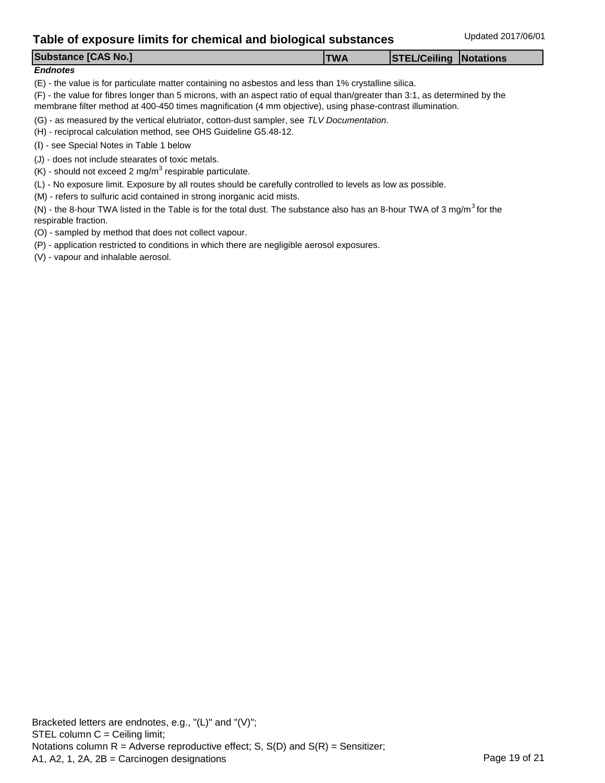#### *Endnotes*

(E) - the value is for particulate matter containing no asbestos and less than 1% crystalline silica.

(F) - the value for fibres longer than 5 microns, with an aspect ratio of equal than/greater than 3:1, as determined by the membrane filter method at 400-450 times magnification (4 mm objective), using phase-contrast illumination.

(G) - as measured by the vertical elutriator, cotton-dust sampler, see *TLV Documentation.* 

(H) - reciprocal calculation method, see OHS Guideline G5.48-12.

(I) - see Special Notes in Table 1 below

- (J) does not include stearates of toxic metals.
- $(K)$  should not exceed 2 mg/m<sup>3</sup> respirable particulate.

(L) - No exposure limit. Exposure by all routes should be carefully controlled to levels as low as possible.

(M) - refers to sulfuric acid contained in strong inorganic acid mists.

(N) - the 8-hour TWA listed in the Table is for the total dust. The substance also has an 8-hour TWA of 3 mg/m<sup>3</sup> for the respirable fraction.

(O) - sampled by method that does not collect vapour.

(P) - application restricted to conditions in which there are negligible aerosol exposures.

(V) - vapour and inhalable aerosol.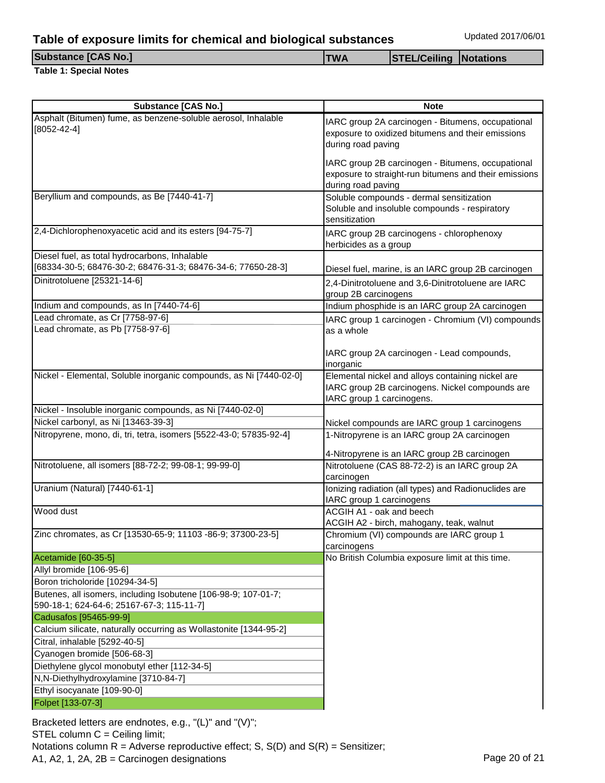#### **Table 1: Special Notes**

**Substance [CAS No.] TWA STEL/Ceiling Notations**

| <b>Substance [CAS No.]</b>                                                                                    | <b>Note</b>                                                                                                                       |  |  |
|---------------------------------------------------------------------------------------------------------------|-----------------------------------------------------------------------------------------------------------------------------------|--|--|
| Asphalt (Bitumen) fume, as benzene-soluble aerosol, Inhalable<br>$[8052 - 42 - 4]$                            | IARC group 2A carcinogen - Bitumens, occupational<br>exposure to oxidized bitumens and their emissions<br>during road paving      |  |  |
|                                                                                                               | IARC group 2B carcinogen - Bitumens, occupational<br>exposure to straight-run bitumens and their emissions<br>during road paving  |  |  |
| Beryllium and compounds, as Be [7440-41-7]                                                                    | Soluble compounds - dermal sensitization<br>Soluble and insoluble compounds - respiratory<br>sensitization                        |  |  |
| 2,4-Dichlorophenoxyacetic acid and its esters [94-75-7]                                                       | IARC group 2B carcinogens - chlorophenoxy<br>herbicides as a group                                                                |  |  |
| Diesel fuel, as total hydrocarbons, Inhalable<br>[68334-30-5; 68476-30-2; 68476-31-3; 68476-34-6; 77650-28-3] | Diesel fuel, marine, is an IARC group 2B carcinogen                                                                               |  |  |
| Dinitrotoluene [25321-14-6]                                                                                   | 2,4-Dinitrotoluene and 3,6-Dinitrotoluene are IARC<br>group 2B carcinogens                                                        |  |  |
| Indium and compounds, as In [7440-74-6]                                                                       | Indium phosphide is an IARC group 2A carcinogen                                                                                   |  |  |
| Lead chromate, as Cr [7758-97-6]<br>Lead chromate, as Pb [7758-97-6]                                          | IARC group 1 carcinogen - Chromium (VI) compounds<br>as a whole                                                                   |  |  |
|                                                                                                               | IARC group 2A carcinogen - Lead compounds,<br>inorganic                                                                           |  |  |
| Nickel - Elemental, Soluble inorganic compounds, as Ni [7440-02-0]                                            | Elemental nickel and alloys containing nickel are<br>IARC group 2B carcinogens. Nickel compounds are<br>IARC group 1 carcinogens. |  |  |
| Nickel - Insoluble inorganic compounds, as Ni [7440-02-0]                                                     |                                                                                                                                   |  |  |
| Nickel carbonyl, as Ni [13463-39-3]                                                                           | Nickel compounds are IARC group 1 carcinogens                                                                                     |  |  |
| Nitropyrene, mono, di, tri, tetra, isomers [5522-43-0; 57835-92-4]                                            | 1-Nitropyrene is an IARC group 2A carcinogen<br>4-Nitropyrene is an IARC group 2B carcinogen                                      |  |  |
| Nitrotoluene, all isomers [88-72-2; 99-08-1; 99-99-0]                                                         | Nitrotoluene (CAS 88-72-2) is an IARC group 2A<br>carcinogen                                                                      |  |  |
| Uranium (Natural) [7440-61-1]                                                                                 | Ionizing radiation (all types) and Radionuclides are<br>IARC group 1 carcinogens                                                  |  |  |
| Wood dust                                                                                                     | ACGIH A1 - oak and beech<br>ACGIH A2 - birch, mahogany, teak, walnut                                                              |  |  |
| Zinc chromates, as Cr [13530-65-9; 11103 -86-9; 37300-23-5]                                                   | Chromium (VI) compounds are IARC group 1<br>carcinogens                                                                           |  |  |
| Acetamide [60-35-5]                                                                                           | No British Columbia exposure limit at this time.                                                                                  |  |  |
| Allyl bromide [106-95-6]                                                                                      |                                                                                                                                   |  |  |
| Boron tricholoride [10294-34-5]                                                                               |                                                                                                                                   |  |  |
| Butenes, all isomers, including Isobutene [106-98-9; 107-01-7;<br>590-18-1; 624-64-6; 25167-67-3; 115-11-7]   |                                                                                                                                   |  |  |
| Cadusafos [95465-99-9]                                                                                        |                                                                                                                                   |  |  |
| Calcium silicate, naturally occurring as Wollastonite [1344-95-2]                                             |                                                                                                                                   |  |  |
| Citral, inhalable [5292-40-5]                                                                                 |                                                                                                                                   |  |  |
| Cyanogen bromide [506-68-3]                                                                                   |                                                                                                                                   |  |  |
| Diethylene glycol monobutyl ether [112-34-5]                                                                  |                                                                                                                                   |  |  |
| N,N-Diethylhydroxylamine [3710-84-7]                                                                          |                                                                                                                                   |  |  |
| Ethyl isocyanate [109-90-0]                                                                                   |                                                                                                                                   |  |  |
| Folpet [133-07-3]                                                                                             |                                                                                                                                   |  |  |

Bracketed letters are endnotes, e.g., "(L)" and "(V)"; STEL column C = Ceiling limit; Notations column  $R =$  Adverse reproductive effect; S,  $S(D)$  and  $S(R) =$  Sensitizer; A1, A2, 1, 2A, 2B = Carcinogen designations Page 20 of 21